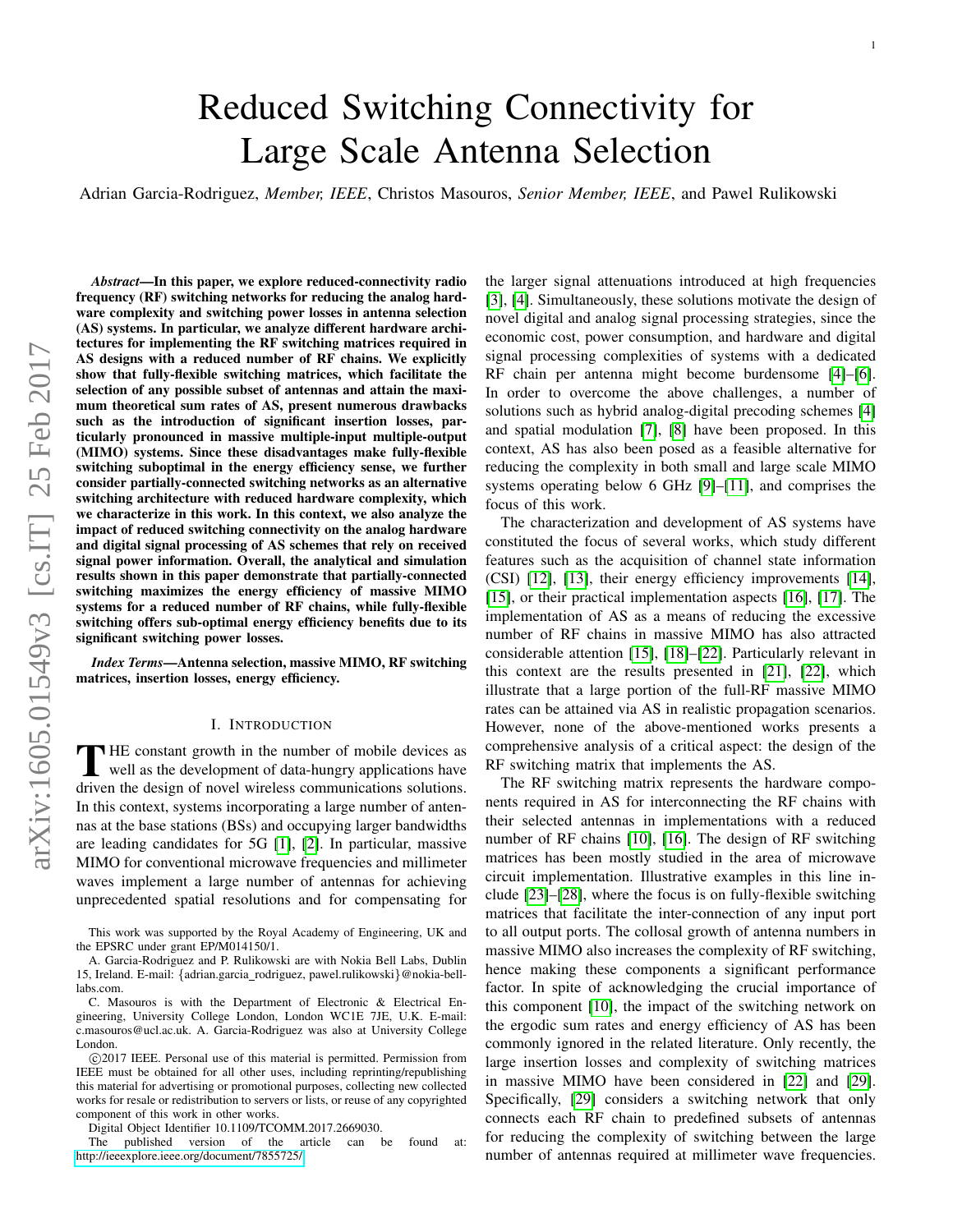# Reduced Switching Connectivity for Large Scale Antenna Selection

Adrian Garcia-Rodriguez, *Member, IEEE*, Christos Masouros, *Senior Member, IEEE*, and Pawel Rulikowski

*Abstract*—In this paper, we explore reduced-connectivity radio frequency (RF) switching networks for reducing the analog hardware complexity and switching power losses in antenna selection (AS) systems. In particular, we analyze different hardware architectures for implementing the RF switching matrices required in AS designs with a reduced number of RF chains. We explicitly show that fully-flexible switching matrices, which facilitate the selection of any possible subset of antennas and attain the maximum theoretical sum rates of AS, present numerous drawbacks such as the introduction of significant insertion losses, particularly pronounced in massive multiple-input multiple-output (MIMO) systems. Since these disadvantages make fully-flexible switching suboptimal in the energy efficiency sense, we further consider partially-connected switching networks as an alternative switching architecture with reduced hardware complexity, which we characterize in this work. In this context, we also analyze the impact of reduced switching connectivity on the analog hardware and digital signal processing of AS schemes that rely on received signal power information. Overall, the analytical and simulation results shown in this paper demonstrate that partially-connected switching maximizes the energy efficiency of massive MIMO systems for a reduced number of RF chains, while fully-flexible switching offers sub-optimal energy efficiency benefits due to its significant switching power losses.

*Index Terms*—Antenna selection, massive MIMO, RF switching matrices, insertion losses, energy efficiency.

#### I. INTRODUCTION

THE constant growth in the number of mobile devices as<br>well as the development of data-hungry applications have<br>driven the decision of nearel wireless communications solutions well as the development of data-hungry applications have driven the design of novel wireless communications solutions. In this context, systems incorporating a large number of antennas at the base stations (BSs) and occupying larger bandwidths are leading candidates for 5G [\[1\]](#page-12-0), [\[2\]](#page-12-1). In particular, massive MIMO for conventional microwave frequencies and millimeter waves implement a large number of antennas for achieving unprecedented spatial resolutions and for compensating for

This work was supported by the Royal Academy of Engineering, UK and the EPSRC under grant EP/M014150/1.

A. Garcia-Rodriguez and P. Rulikowski are with Nokia Bell Labs, Dublin 15, Ireland. E-mail: {adrian.garcia\_rodriguez, pawel.rulikowski}@nokia-belllabs.com.

C. Masouros is with the Department of Electronic & Electrical Engineering, University College London, London WC1E 7JE, U.K. E-mail: c.masouros@ucl.ac.uk. A. Garcia-Rodriguez was also at University College London.

 c 2017 IEEE. Personal use of this material is permitted. Permission from IEEE must be obtained for all other uses, including reprinting/republishing this material for advertising or promotional purposes, collecting new collected works for resale or redistribution to servers or lists, or reuse of any copyrighted component of this work in other works.

Digital Object Identifier 10.1109/TCOMM.2017.2669030.

The published version of the article can be found at: <http://ieeexplore.ieee.org/document/7855725/>

the larger signal attenuations introduced at high frequencies [\[3\]](#page-12-2), [\[4\]](#page-12-3). Simultaneously, these solutions motivate the design of novel digital and analog signal processing strategies, since the economic cost, power consumption, and hardware and digital signal processing complexities of systems with a dedicated RF chain per antenna might become burdensome [\[4\]](#page-12-3)–[\[6\]](#page-12-4). In order to overcome the above challenges, a number of solutions such as hybrid analog-digital precoding schemes [\[4\]](#page-12-3) and spatial modulation [\[7\]](#page-12-5), [\[8\]](#page-12-6) have been proposed. In this context, AS has also been posed as a feasible alternative for reducing the complexity in both small and large scale MIMO systems operating below 6 GHz [\[9\]](#page-12-7)–[\[11\]](#page-12-8), and comprises the focus of this work.

The characterization and development of AS systems have constituted the focus of several works, which study different features such as the acquisition of channel state information (CSI) [\[12\]](#page-12-9), [\[13\]](#page-12-10), their energy efficiency improvements [\[14\]](#page-12-11), [\[15\]](#page-12-12), or their practical implementation aspects [\[16\]](#page-12-13), [\[17\]](#page-12-14). The implementation of AS as a means of reducing the excessive number of RF chains in massive MIMO has also attracted considerable attention [\[15\]](#page-12-12), [\[18\]](#page-12-15)–[\[22\]](#page-13-0). Particularly relevant in this context are the results presented in [\[21\]](#page-12-16), [\[22\]](#page-13-0), which illustrate that a large portion of the full-RF massive MIMO rates can be attained via AS in realistic propagation scenarios. However, none of the above-mentioned works presents a comprehensive analysis of a critical aspect: the design of the RF switching matrix that implements the AS.

The RF switching matrix represents the hardware components required in AS for interconnecting the RF chains with their selected antennas in implementations with a reduced number of RF chains [\[10\]](#page-12-17), [\[16\]](#page-12-13). The design of RF switching matrices has been mostly studied in the area of microwave circuit implementation. Illustrative examples in this line include [\[23\]](#page-13-1)–[\[28\]](#page-13-2), where the focus is on fully-flexible switching matrices that facilitate the inter-connection of any input port to all output ports. The collosal growth of antenna numbers in massive MIMO also increases the complexity of RF switching, hence making these components a significant performance factor. In spite of acknowledging the crucial importance of this component [\[10\]](#page-12-17), the impact of the switching network on the ergodic sum rates and energy efficiency of AS has been commonly ignored in the related literature. Only recently, the large insertion losses and complexity of switching matrices in massive MIMO have been considered in [\[22\]](#page-13-0) and [\[29\]](#page-13-3). Specifically, [\[29\]](#page-13-3) considers a switching network that only connects each RF chain to predefined subsets of antennas for reducing the complexity of switching between the large number of antennas required at millimeter wave frequencies.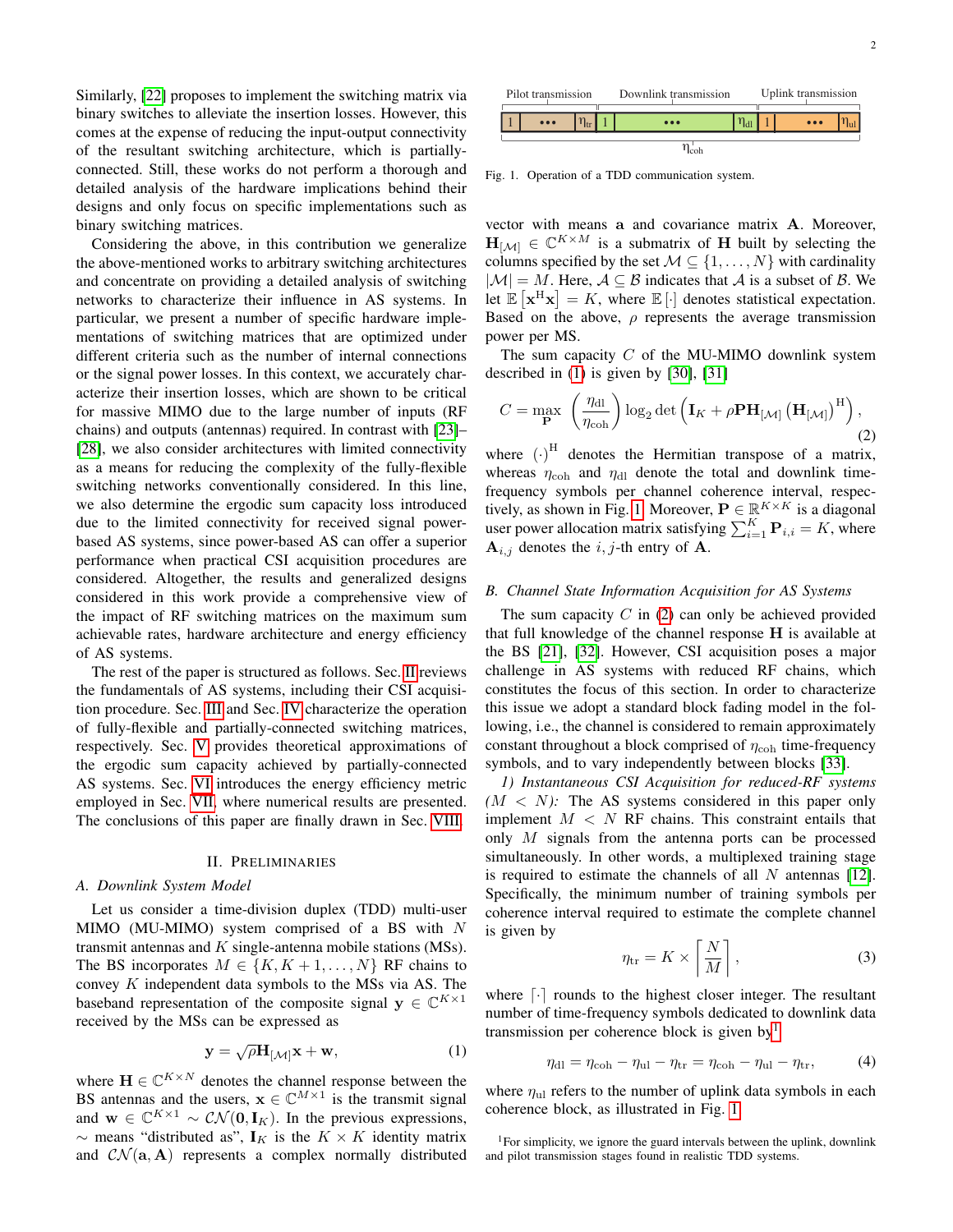Similarly, [\[22\]](#page-13-0) proposes to implement the switching matrix via binary switches to alleviate the insertion losses. However, this comes at the expense of reducing the input-output connectivity of the resultant switching architecture, which is partiallyconnected. Still, these works do not perform a thorough and detailed analysis of the hardware implications behind their designs and only focus on specific implementations such as binary switching matrices.

Considering the above, in this contribution we generalize the above-mentioned works to arbitrary switching architectures and concentrate on providing a detailed analysis of switching networks to characterize their influence in AS systems. In particular, we present a number of specific hardware implementations of switching matrices that are optimized under different criteria such as the number of internal connections or the signal power losses. In this context, we accurately characterize their insertion losses, which are shown to be critical for massive MIMO due to the large number of inputs (RF chains) and outputs (antennas) required. In contrast with [\[23\]](#page-13-1)– [\[28\]](#page-13-2), we also consider architectures with limited connectivity as a means for reducing the complexity of the fully-flexible switching networks conventionally considered. In this line, we also determine the ergodic sum capacity loss introduced due to the limited connectivity for received signal powerbased AS systems, since power-based AS can offer a superior performance when practical CSI acquisition procedures are considered. Altogether, the results and generalized designs considered in this work provide a comprehensive view of the impact of RF switching matrices on the maximum sum achievable rates, hardware architecture and energy efficiency of AS systems.

The rest of the paper is structured as follows. Sec. [II](#page-1-0) reviews the fundamentals of AS systems, including their CSI acquisition procedure. Sec. [III](#page-2-0) and Sec. [IV](#page-4-0) characterize the operation of fully-flexible and partially-connected switching matrices, respectively. Sec. [V](#page-6-0) provides theoretical approximations of the ergodic sum capacity achieved by partially-connected AS systems. Sec. [VI](#page-8-0) introduces the energy efficiency metric employed in Sec. [VII,](#page-9-0) where numerical results are presented. The conclusions of this paper are finally drawn in Sec. [VIII.](#page-11-0)

#### II. PRELIMINARIES

#### <span id="page-1-0"></span>*A. Downlink System Model*

Let us consider a time-division duplex (TDD) multi-user MIMO (MU-MIMO) system comprised of a BS with  $N$ transmit antennas and  $K$  single-antenna mobile stations (MSs). The BS incorporates  $M \in \{K, K+1, \ldots, N\}$  RF chains to convey  $K$  independent data symbols to the MSs via AS. The baseband representation of the composite signal  $y \in \mathbb{C}^{K \times 1}$ received by the MSs can be expressed as

$$
\mathbf{y} = \sqrt{\rho} \mathbf{H}_{[\mathcal{M}]} \mathbf{x} + \mathbf{w}, \tag{1}
$$

where  $\mathbf{H} \in \mathbb{C}^{K \times N}$  denotes the channel response between the BS antennas and the users,  $x \in \mathbb{C}^{M \times 1}$  is the transmit signal and  $\mathbf{w} \in \mathbb{C}^{K \times 1} \sim \mathcal{CN}(\mathbf{0}, \mathbf{I}_K)$ . In the previous expressions,  $\sim$  means "distributed as",  $\mathbf{I}_K$  is the  $K \times K$  identity matrix and  $CN(a, A)$  represents a complex normally distributed



<span id="page-1-2"></span>Fig. 1. Operation of a TDD communication system.

vector with means a and covariance matrix A. Moreover,  $\mathbf{H}_{[\mathcal{M}]} \in \mathbb{C}^{K \times M}$  is a submatrix of H built by selecting the columns specified by the set  $M \subseteq \{1, ..., N\}$  with cardinality  $|\mathcal{M}| = M$ . Here,  $\mathcal{A} \subseteq \mathcal{B}$  indicates that  $\mathcal{A}$  is a subset of  $\mathcal{B}$ . We let  $\mathbb{E}[\mathbf{x}^H \mathbf{x}] = K$ , where  $\mathbb{E}[\cdot]$  denotes statistical expectation. Based on the above,  $\rho$  represents the average transmission power per MS.

The sum capacity  $C$  of the MU-MIMO downlink system described in [\(1\)](#page-1-1) is given by [\[30\]](#page-13-4), [\[31\]](#page-13-5)

<span id="page-1-3"></span>
$$
C = \max_{\mathbf{P}} \left( \frac{\eta_{\text{dl}}}{\eta_{\text{coh}}} \right) \log_2 \det \left( \mathbf{I}_K + \rho \mathbf{P} \mathbf{H}_{[\mathcal{M}]} \left( \mathbf{H}_{[\mathcal{M}]} \right)^{\text{H}} \right), \tag{2}
$$

where  $(\cdot)^{\text{H}}$  denotes the Hermitian transpose of a matrix, whereas  $\eta_{coh}$  and  $\eta_{d}$  denote the total and downlink timefrequency symbols per channel coherence interval, respec-tively, as shown in Fig. [1.](#page-1-2) Moreover,  $\mathbf{P} \in \mathbb{R}^{K \times K}$  is a diagonal user power allocation matrix satisfying  $\sum_{i=1}^{K} \mathbf{P}_{i,i} = K$ , where  $A_{i,j}$  denotes the  $i, j$ -th entry of A.

#### <span id="page-1-5"></span>*B. Channel State Information Acquisition for AS Systems*

The sum capacity  $C$  in [\(2\)](#page-1-3) can only be achieved provided that full knowledge of the channel response H is available at the BS [\[21\]](#page-12-16), [\[32\]](#page-13-6). However, CSI acquisition poses a major challenge in AS systems with reduced RF chains, which constitutes the focus of this section. In order to characterize this issue we adopt a standard block fading model in the following, i.e., the channel is considered to remain approximately constant throughout a block comprised of  $\eta_{coh}$  time-frequency symbols, and to vary independently between blocks [\[33\]](#page-13-7).

*1) Instantaneous CSI Acquisition for reduced-RF systems*  $(M \leq N)$ : The AS systems considered in this paper only implement  $M < N$  RF chains. This constraint entails that only M signals from the antenna ports can be processed simultaneously. In other words, a multiplexed training stage is required to estimate the channels of all  $N$  antennas [\[12\]](#page-12-9). Specifically, the minimum number of training symbols per coherence interval required to estimate the complete channel is given by

<span id="page-1-6"></span>
$$
\eta_{\rm tr} = K \times \left[ \frac{N}{M} \right],\tag{3}
$$

<span id="page-1-1"></span>where  $\lceil \cdot \rceil$  rounds to the highest closer integer. The resultant number of time-frequency symbols dedicated to downlink data transmission per coherence block is given by<sup>[1](#page-1-4)</sup>

$$
\eta_{\rm dl} = \eta_{\rm coh} - \eta_{\rm ul} - \eta_{\rm tr} = \eta_{\rm coh} - \eta_{\rm ul} - \eta_{\rm tr},\tag{4}
$$

where  $\eta_{\text{ul}}$  refers to the number of uplink data symbols in each coherence block, as illustrated in Fig. [1.](#page-1-2)

<span id="page-1-4"></span><sup>&</sup>lt;sup>1</sup>For simplicity, we ignore the guard intervals between the uplink, downlink and pilot transmission stages found in realistic TDD systems.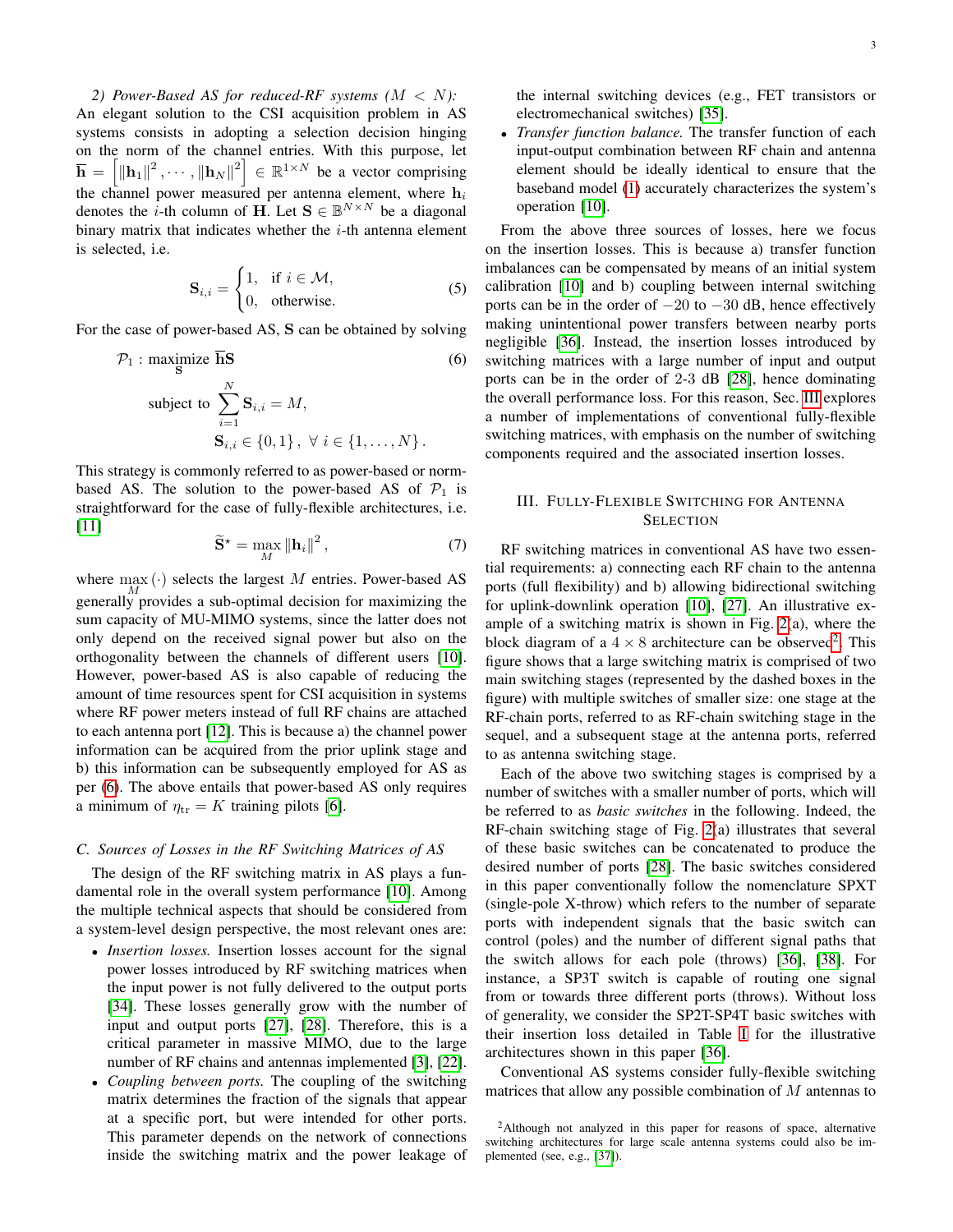*2) Power-Based AS for reduced-RF systems (*M < N*):* An elegant solution to the CSI acquisition problem in AS systems consists in adopting a selection decision hinging on the norm of the channel entries. With this purpose, let  $\overline{\mathbf{h}} = \left[ \|\mathbf{h}_1\|^2, \cdots, \|\mathbf{h}_N\|^2 \right] \in \mathbb{R}^{1 \times N}$  be a vector comprising the channel power measured per antenna element, where  $h_i$ denotes the *i*-th column of H. Let  $S \in \mathbb{B}^{N \times N}$  be a diagonal binary matrix that indicates whether the  $i$ -th antenna element is selected, i.e.

<span id="page-2-3"></span>
$$
\mathbf{S}_{i,i} = \begin{cases} 1, & \text{if } i \in \mathcal{M}, \\ 0, & \text{otherwise.} \end{cases}
$$
 (5)

For the case of power-based AS, S can be obtained by solving

$$
\mathcal{P}_1: \underset{\mathbf{S}}{\text{maximize}} \overline{\mathbf{h}} \mathbf{S} \tag{6}
$$
  
subject to 
$$
\sum_{i=1}^N \mathbf{S}_{i,i} = M,
$$

$$
\mathbf{S}_{i,i} \in \{0,1\}, \ \forall \ i \in \{1, \dots, N\}.
$$

This strategy is commonly referred to as power-based or normbased AS. The solution to the power-based AS of  $\mathcal{P}_1$  is straightforward for the case of fully-flexible architectures, i.e. [\[11\]](#page-12-8)

$$
\widetilde{\mathbf{S}}^{\star} = \max_{M} \|\mathbf{h}_{i}\|^{2},\tag{7}
$$

where  $\max_{M}(\cdot)$  selects the largest M entries. Power-based AS generally provides a sub-optimal decision for maximizing the sum capacity of MU-MIMO systems, since the latter does not only depend on the received signal power but also on the orthogonality between the channels of different users [\[10\]](#page-12-17). However, power-based AS is also capable of reducing the amount of time resources spent for CSI acquisition in systems where RF power meters instead of full RF chains are attached to each antenna port [\[12\]](#page-12-9). This is because a) the channel power information can be acquired from the prior uplink stage and b) this information can be subsequently employed for AS as per [\(6\)](#page-2-1). The above entails that power-based AS only requires a minimum of  $\eta_{tr} = K$  training pilots [\[6\]](#page-12-4).

#### *C. Sources of Losses in the RF Switching Matrices of AS*

The design of the RF switching matrix in AS plays a fundamental role in the overall system performance [\[10\]](#page-12-17). Among the multiple technical aspects that should be considered from a system-level design perspective, the most relevant ones are:

- *Insertion losses.* Insertion losses account for the signal power losses introduced by RF switching matrices when the input power is not fully delivered to the output ports [\[34\]](#page-13-8). These losses generally grow with the number of input and output ports [\[27\]](#page-13-9), [\[28\]](#page-13-2). Therefore, this is a critical parameter in massive MIMO, due to the large number of RF chains and antennas implemented [\[3\]](#page-12-2), [\[22\]](#page-13-0).
- *Coupling between ports.* The coupling of the switching matrix determines the fraction of the signals that appear at a specific port, but were intended for other ports. This parameter depends on the network of connections inside the switching matrix and the power leakage of

the internal switching devices (e.g., FET transistors or electromechanical switches) [\[35\]](#page-13-10).

• *Transfer function balance.* The transfer function of each input-output combination between RF chain and antenna element should be ideally identical to ensure that the baseband model [\(1\)](#page-1-1) accurately characterizes the system's operation [\[10\]](#page-12-17).

<span id="page-2-1"></span>From the above three sources of losses, here we focus on the insertion losses. This is because a) transfer function imbalances can be compensated by means of an initial system calibration [\[10\]](#page-12-17) and b) coupling between internal switching ports can be in the order of  $-20$  to  $-30$  dB, hence effectively making unintentional power transfers between nearby ports negligible [\[36\]](#page-13-11). Instead, the insertion losses introduced by switching matrices with a large number of input and output ports can be in the order of 2-3 dB [\[28\]](#page-13-2), hence dominating the overall performance loss. For this reason, Sec. [III](#page-2-0) explores a number of implementations of conventional fully-flexible switching matrices, with emphasis on the number of switching components required and the associated insertion losses.

# <span id="page-2-0"></span>III. FULLY-FLEXIBLE SWITCHING FOR ANTENNA **SELECTION**

RF switching matrices in conventional AS have two essential requirements: a) connecting each RF chain to the antenna ports (full flexibility) and b) allowing bidirectional switching for uplink-downlink operation [\[10\]](#page-12-17), [\[27\]](#page-13-9). An illustrative example of a switching matrix is shown in Fig. [2\(](#page-3-0)a), where the block diagram of a  $4 \times 8$  architecture can be observed<sup>[2](#page-2-2)</sup>. This figure shows that a large switching matrix is comprised of two main switching stages (represented by the dashed boxes in the figure) with multiple switches of smaller size: one stage at the RF-chain ports, referred to as RF-chain switching stage in the sequel, and a subsequent stage at the antenna ports, referred to as antenna switching stage.

Each of the above two switching stages is comprised by a number of switches with a smaller number of ports, which will be referred to as *basic switches* in the following. Indeed, the RF-chain switching stage of Fig. [2\(](#page-3-0)a) illustrates that several of these basic switches can be concatenated to produce the desired number of ports [\[28\]](#page-13-2). The basic switches considered in this paper conventionally follow the nomenclature SPXT (single-pole X-throw) which refers to the number of separate ports with independent signals that the basic switch can control (poles) and the number of different signal paths that the switch allows for each pole (throws) [\[36\]](#page-13-11), [\[38\]](#page-13-12). For instance, a SP3T switch is capable of routing one signal from or towards three different ports (throws). Without loss of generality, we consider the SP2T-SP4T basic switches with their insertion loss detailed in Table [I](#page-3-1) for the illustrative architectures shown in this paper [\[36\]](#page-13-11).

Conventional AS systems consider fully-flexible switching matrices that allow any possible combination of M antennas to

<span id="page-2-2"></span><sup>2</sup>Although not analyzed in this paper for reasons of space, alternative switching architectures for large scale antenna systems could also be implemented (see, e.g., [\[37\]](#page-13-13)).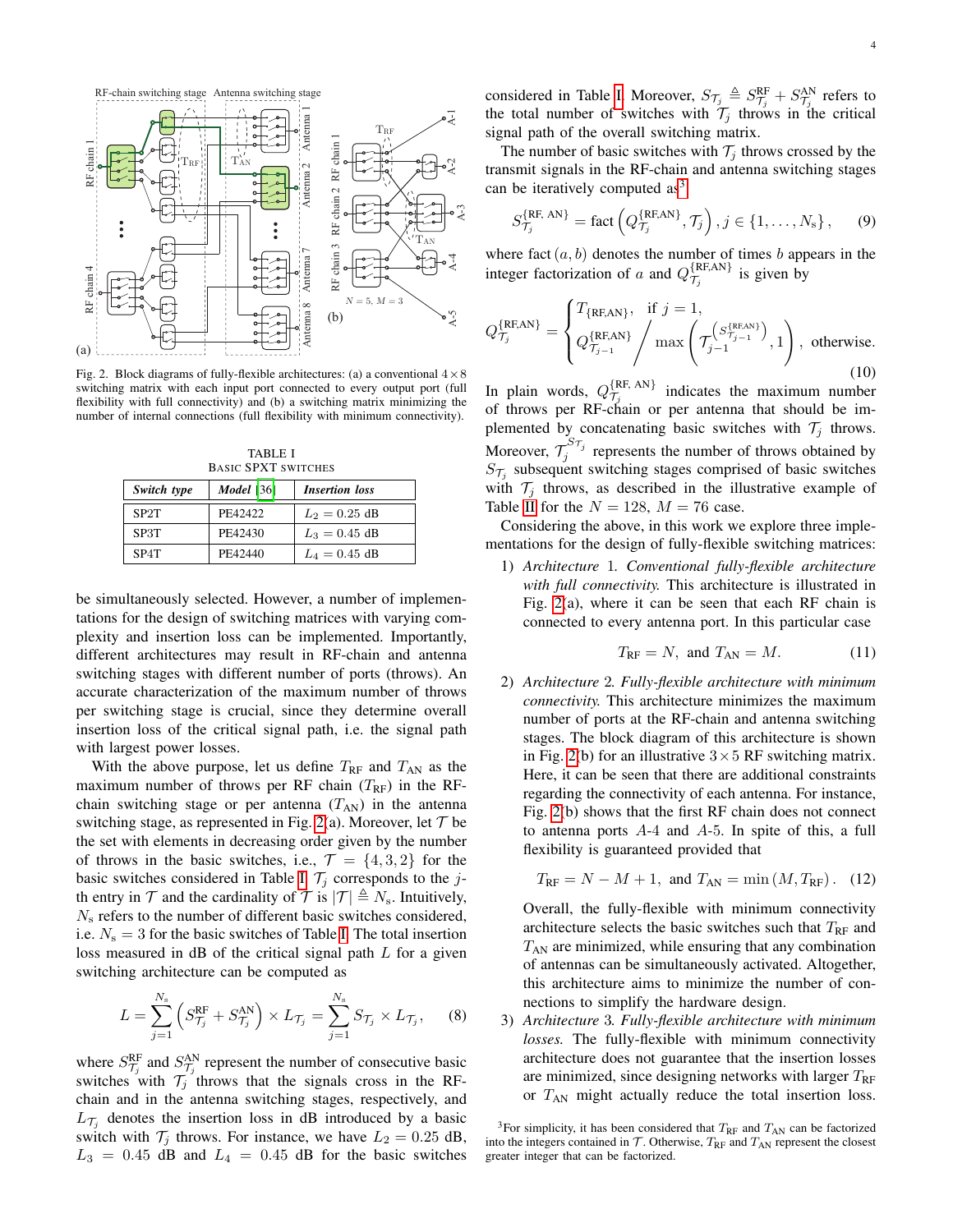

<span id="page-3-0"></span>Fig. 2. Block diagrams of fully-flexible architectures: (a) a conventional  $4 \times 8$ switching matrix with each input port connected to every output port (full flexibility with full connectivity) and (b) a switching matrix minimizing the number of internal connections (full flexibility with minimum connectivity).

TABLE I BASIC SPXT SWITCHES

<span id="page-3-1"></span>

| Switch type       | <b>Model</b> [36] | <b>Insertion</b> loss |
|-------------------|-------------------|-----------------------|
| SP <sub>2</sub> T | PF42422           | $L_2 = 0.25$ dB       |
| SP3T              | PE42430           | $L_3 = 0.45$ dB       |
| SP4T              | PF42440           | $L_4 = 0.45$ dB       |

be simultaneously selected. However, a number of implementations for the design of switching matrices with varying complexity and insertion loss can be implemented. Importantly, different architectures may result in RF-chain and antenna switching stages with different number of ports (throws). An accurate characterization of the maximum number of throws per switching stage is crucial, since they determine overall insertion loss of the critical signal path, i.e. the signal path with largest power losses.

With the above purpose, let us define  $T_{\rm RF}$  and  $T_{\rm AN}$  as the maximum number of throws per RF chain  $(T_{RF})$  in the RFchain switching stage or per antenna  $(T_{AN})$  in the antenna switching stage, as represented in Fig. [2\(](#page-3-0)a). Moreover, let  $\mathcal T$  be the set with elements in decreasing order given by the number of throws in the basic switches, i.e.,  $\mathcal{T} = \{4, 3, 2\}$  for the basic switches considered in Table [I.](#page-3-1)  $\mathcal{T}_j$  corresponds to the jth entry in  $\mathcal T$  and the cardinality of  $\mathcal T$  is  $|\mathcal T| \triangleq N_s$ . Intuitively,  $N<sub>s</sub>$  refers to the number of different basic switches considered, i.e.  $N_s = 3$  for the basic switches of Table [I.](#page-3-1) The total insertion loss measured in  $\text{dB}$  of the critical signal path L for a given switching architecture can be computed as

$$
L = \sum_{j=1}^{N_s} \left( S_{\mathcal{T}_j}^{\text{RF}} + S_{\mathcal{T}_j}^{\text{AN}} \right) \times L_{\mathcal{T}_j} = \sum_{j=1}^{N_s} S_{\mathcal{T}_j} \times L_{\mathcal{T}_j}, \quad (8)
$$

where  $S_{\mathcal{T}_j}^{\text{RF}}$  and  $S_{\mathcal{T}_j}^{\text{AN}}$  represent the number of consecutive basic switches with  $\mathcal{T}_j$  throws that the signals cross in the RFchain and in the antenna switching stages, respectively, and  $L_{\mathcal{T}_j}$  denotes the insertion loss in dB introduced by a basic switch with  $\mathcal{T}_j$  throws. For instance, we have  $L_2 = 0.25$  dB,  $L_3 = 0.45$  dB and  $L_4 = 0.45$  dB for the basic switches

considered in Table [I.](#page-3-1) Moreover,  $S_{\mathcal{T}_j} \triangleq S_{\mathcal{T}_j}^{RF} + S_{\mathcal{T}_j}^{AN}$  refers to the total number of switches with  $\mathcal{T}_j$  throws in the critical signal path of the overall switching matrix.

The number of basic switches with  $\mathcal{T}_i$  throws crossed by the transmit signals in the RF-chain and antenna switching stages can be iteratively computed  $as<sup>3</sup>$  $as<sup>3</sup>$  $as<sup>3</sup>$ 

<span id="page-3-3"></span>
$$
S_{\mathcal{T}_j}^{\{\rm RF,\,AN\}} = \text{fact}\left(Q_{\mathcal{T}_j}^{\{\rm RF,AN\}}, \mathcal{T}_j\right), j \in \{1, \ldots, N_s\},\qquad(9)
$$

where fact  $(a, b)$  denotes the number of times b appears in the integer factorization of a and  $Q_{\tau}^{\{RF, \text{AN}\}}$  $\tau_j^{\text{max}, \text{any}}$  is given by

$$
Q_{\mathcal{T}_j}^{\{\text{RF,AN}\}} = \begin{cases} T_{\{\text{RF,AN}\}}, & \text{if } j = 1, \\ Q_{\mathcal{T}_{j-1}}^{\{\text{RF,AN}\}} \Big/ \max\left(\mathcal{T}_{j-1}^{\{S_{\mathcal{T}_{j-1}}^{\{\text{RF,AN}\}}\}}), 1\right), & \text{otherwise.} \end{cases}
$$

In plain words,  $Q_{\tau_i}^{\{RF,\,AN\}}$  $\tau_j^{\text{in}, \text{any}}$  indicates the maximum number of throws per RF-chain or per antenna that should be implemented by concatenating basic switches with  $\mathcal{T}_i$  throws. Moreover,  $\mathcal{T}_j^{S_{\mathcal{T}_j}}$  represents the number of throws obtained by  $S_{\mathcal{T}_j}$  subsequent switching stages comprised of basic switches with  $\mathcal{T}_i$  throws, as described in the illustrative example of Table [II](#page-4-1) for the  $N = 128$ ,  $M = 76$  case.

Considering the above, in this work we explore three implementations for the design of fully-flexible switching matrices:

1) *Architecture* 1*. Conventional fully-flexible architecture with full connectivity.* This architecture is illustrated in Fig. [2\(](#page-3-0)a), where it can be seen that each RF chain is connected to every antenna port. In this particular case

$$
T_{\rm RF} = N, \text{ and } T_{\rm AN} = M. \tag{11}
$$

2) *Architecture* 2*. Fully-flexible architecture with minimum connectivity.* This architecture minimizes the maximum number of ports at the RF-chain and antenna switching stages. The block diagram of this architecture is shown in Fig. [2\(](#page-3-0)b) for an illustrative  $3 \times 5$  RF switching matrix. Here, it can be seen that there are additional constraints regarding the connectivity of each antenna. For instance, Fig. [2\(](#page-3-0)b) shows that the first RF chain does not connect to antenna ports  $A-4$  and  $A-5$ . In spite of this, a full flexibility is guaranteed provided that

<span id="page-3-5"></span>
$$
T_{\text{RF}} = N - M + 1
$$
, and  $T_{\text{AN}} = \min(M, T_{\text{RF}})$ . (12)

Overall, the fully-flexible with minimum connectivity architecture selects the basic switches such that  $T_{RF}$  and  $T_{AN}$  are minimized, while ensuring that any combination of antennas can be simultaneously activated. Altogether, this architecture aims to minimize the number of connections to simplify the hardware design.

<span id="page-3-4"></span>3) *Architecture* 3*. Fully-flexible architecture with minimum losses.* The fully-flexible with minimum connectivity architecture does not guarantee that the insertion losses are minimized, since designing networks with larger  $T_{\text{RF}}$ or  $T_{AN}$  might actually reduce the total insertion loss.

<span id="page-3-2"></span><sup>&</sup>lt;sup>3</sup>For simplicity, it has been considered that  $T_{\text{RF}}$  and  $T_{\text{AN}}$  can be factorized into the integers contained in  $\mathcal T$ . Otherwise,  $T_{\rm RF}$  and  $T_{\rm AN}$  represent the closest greater integer that can be factorized.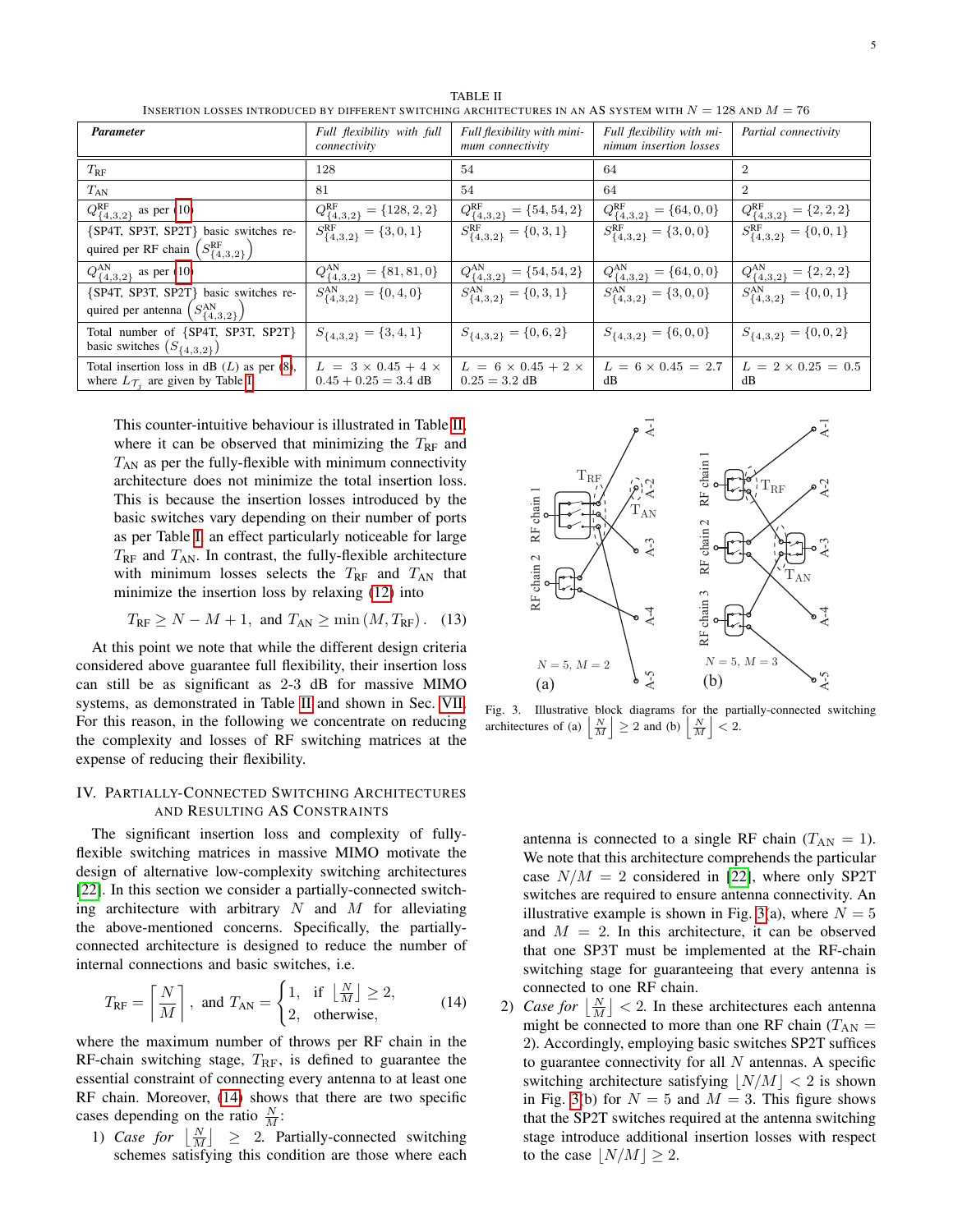<span id="page-4-1"></span>

| <b>Parameter</b>                                                                                  | Full flexibility with full<br>connectivity               | Full flexibility with mini-<br>mum connectivity    | Full flexibility with mi-<br>nimum insertion losses | Partial connectivity                    |
|---------------------------------------------------------------------------------------------------|----------------------------------------------------------|----------------------------------------------------|-----------------------------------------------------|-----------------------------------------|
| $T_{\rm RF}$                                                                                      | 128                                                      | 54                                                 | 64                                                  | $\overline{2}$                          |
| $T_{AN}$                                                                                          | 81                                                       | 54                                                 | 64                                                  | $\overline{2}$                          |
| $Q_{\{4,3,2\}}^{\rm RF}$ as per (10)                                                              | $Q^{\text{RF}}_{\{4,3,2\}} = \{128,2,2\}$                | $Q^{\rm RF}_{\{4,3,2\}}=\{54,54,2\}$               | $Q^{\text{RF}}_{\{4,3,2\}} = \{64,0,0\}$            | $Q_{\{4,3,2\}}^{\rm RF} = \{2,2,2\}$    |
| {SP4T, SP3T, SP2T} basic switches re-                                                             | $S^{\text{RF}}_{\{4,3,2\}} = \{3,0,1\}$                  | $\overline{S_{\{4,3,2\}}^{\text{RF}}} = \{0,3,1\}$ | $S^{\text{RF}}_{\{4,3,2\}} = \{3,0,0\}$             | $S^{\rm RF}_{\{4,3,2\}}=\{0,0,1\}$      |
| quired per RF chain $(S_{\{4,3,2\}}^R)$                                                           |                                                          |                                                    |                                                     |                                         |
| $Q_{\{4,3,2\}}^{\text{AN}}$ as per (10)                                                           | $Q_{\{4,3,2\}}^{\text{AN}} = \{81,81,0\}$                | $Q_{\{4,3,2\}}^{\text{AN}} = \{54,54,2\}$          | $Q^{\text{AN}}_{\{4,3,2\}} = \{64,0,0\}$            | $Q^{\text{AN}}_{\{4,3,2\}} = \{2,2,2\}$ |
| {SP4T, SP3T, SP2T} basic switches re-                                                             | $S_{\{4,3,2\}}^{\text{AN}} = \{0,4,0\}$                  | $S_{\{4,3,2\}}^{\text{AN}} = \{0,3,1\}$            | $S_{\{4,3,2\}}^{\text{AN}} = \{3,0,0\}$             | $S_{\{4,3,2\}}^{\text{AN}} = \{0,0,1\}$ |
| quired per antenna $(S_{\{4,3,2\}}^{\text{AN}})$                                                  |                                                          |                                                    |                                                     |                                         |
| Total number of {SP4T, SP3T, SP2T}<br>basic switches $(S_{\{4,3,2\}})$                            | $S_{\{4,3,2\}} = \{3,4,1\}$                              | $S_{\{4,3,2\}} = \{0,6,2\}$                        | $S_{\{4,3,2\}} = \{6,0,0\}$                         | $S_{\{4,3,2\}} = \{0,0,2\}$             |
| Total insertion loss in dB $(L)$ as per $(8)$ ,<br>where $L_{\mathcal{T}_i}$ are given by Table I | $L = 3 \times 0.45 + 4 \times$<br>$0.45 + 0.25 = 3.4$ dB | $L = 6 \times 0.45 + 2 \times$<br>$0.25 = 3.2$ dB  | $L = 6 \times 0.45 = 2.7$<br>dB                     | $L = 2 \times 0.25 = 0.5$<br>dB         |

TABLE II INSERTION LOSSES INTRODUCED BY DIFFERENT SWITCHING ARCHITECTURES IN AN AS SYSTEM WITH  $N = 128$  and  $M = 76$ 

This counter-intuitive behaviour is illustrated in Table [II,](#page-4-1) where it can be observed that minimizing the  $T_{RF}$  and  $T_{AN}$  as per the fully-flexible with minimum connectivity architecture does not minimize the total insertion loss. This is because the insertion losses introduced by the basic switches vary depending on their number of ports as per Table [I,](#page-3-1) an effect particularly noticeable for large  $T_{\rm RF}$  and  $T_{\rm AN}$ . In contrast, the fully-flexible architecture with minimum losses selects the  $T_{RF}$  and  $T_{AN}$  that minimize the insertion loss by relaxing [\(12\)](#page-3-5) into

$$
T_{\text{RF}} \ge N - M + 1, \text{ and } T_{\text{AN}} \ge \min\left(M, T_{\text{RF}}\right). \quad (13)
$$

At this point we note that while the different design criteria considered above guarantee full flexibility, their insertion loss can still be as significant as 2-3 dB for massive MIMO systems, as demonstrated in Table [II](#page-4-1) and shown in Sec. [VII.](#page-9-0) For this reason, in the following we concentrate on reducing the complexity and losses of RF switching matrices at the expense of reducing their flexibility.

# <span id="page-4-0"></span>IV. PARTIALLY-CONNECTED SWITCHING ARCHITECTURES AND RESULTING AS CONSTRAINTS

The significant insertion loss and complexity of fullyflexible switching matrices in massive MIMO motivate the design of alternative low-complexity switching architectures [\[22\]](#page-13-0). In this section we consider a partially-connected switching architecture with arbitrary  $N$  and  $M$  for alleviating the above-mentioned concerns. Specifically, the partiallyconnected architecture is designed to reduce the number of internal connections and basic switches, i.e.

$$
T_{\rm RF} = \left\lceil \frac{N}{M} \right\rceil, \text{ and } T_{\rm AN} = \begin{cases} 1, & \text{if } \left\lfloor \frac{N}{M} \right\rfloor \ge 2, \\ 2, & \text{otherwise,} \end{cases} \tag{14}
$$

where the maximum number of throws per RF chain in the RF-chain switching stage,  $T_{\text{RF}}$ , is defined to guarantee the essential constraint of connecting every antenna to at least one RF chain. Moreover, [\(14\)](#page-4-2) shows that there are two specific cases depending on the ratio  $\frac{N}{M}$ :

1) *Case for*  $\lfloor \frac{N}{M} \rfloor \geq 2$ . Partially-connected switching schemes satisfying this condition are those where each



<span id="page-4-3"></span>Fig. 3. Illustrative block diagrams for the partially-connected switching architectures of (a)  $\left| \frac{N}{M} \right| \ge 2$  and (b)  $\left| \frac{N}{M} \right| < 2$ .

antenna is connected to a single RF chain  $(T_{AN} = 1)$ . We note that this architecture comprehends the particular case  $N/M = 2$  considered in [\[22\]](#page-13-0), where only SP2T switches are required to ensure antenna connectivity. An illustrative example is shown in Fig. [3\(](#page-4-3)a), where  $N = 5$ and  $M = 2$ . In this architecture, it can be observed that one SP3T must be implemented at the RF-chain switching stage for guaranteeing that every antenna is connected to one RF chain.

<span id="page-4-2"></span>2) *Case for*  $\left\lfloor \frac{N}{M} \right\rfloor < 2$ . In these architectures each antenna might be connected to more than one RF chain ( $T_{AN}$  = 2). Accordingly, employing basic switches SP2T suffices to guarantee connectivity for all  $N$  antennas. A specific switching architecture satisfying  $|N/M| < 2$  is shown in Fig. [3\(](#page-4-3)b) for  $N = 5$  and  $M = 3$ . This figure shows that the SP2T switches required at the antenna switching stage introduce additional insertion losses with respect to the case  $|N/M| \geq 2$ .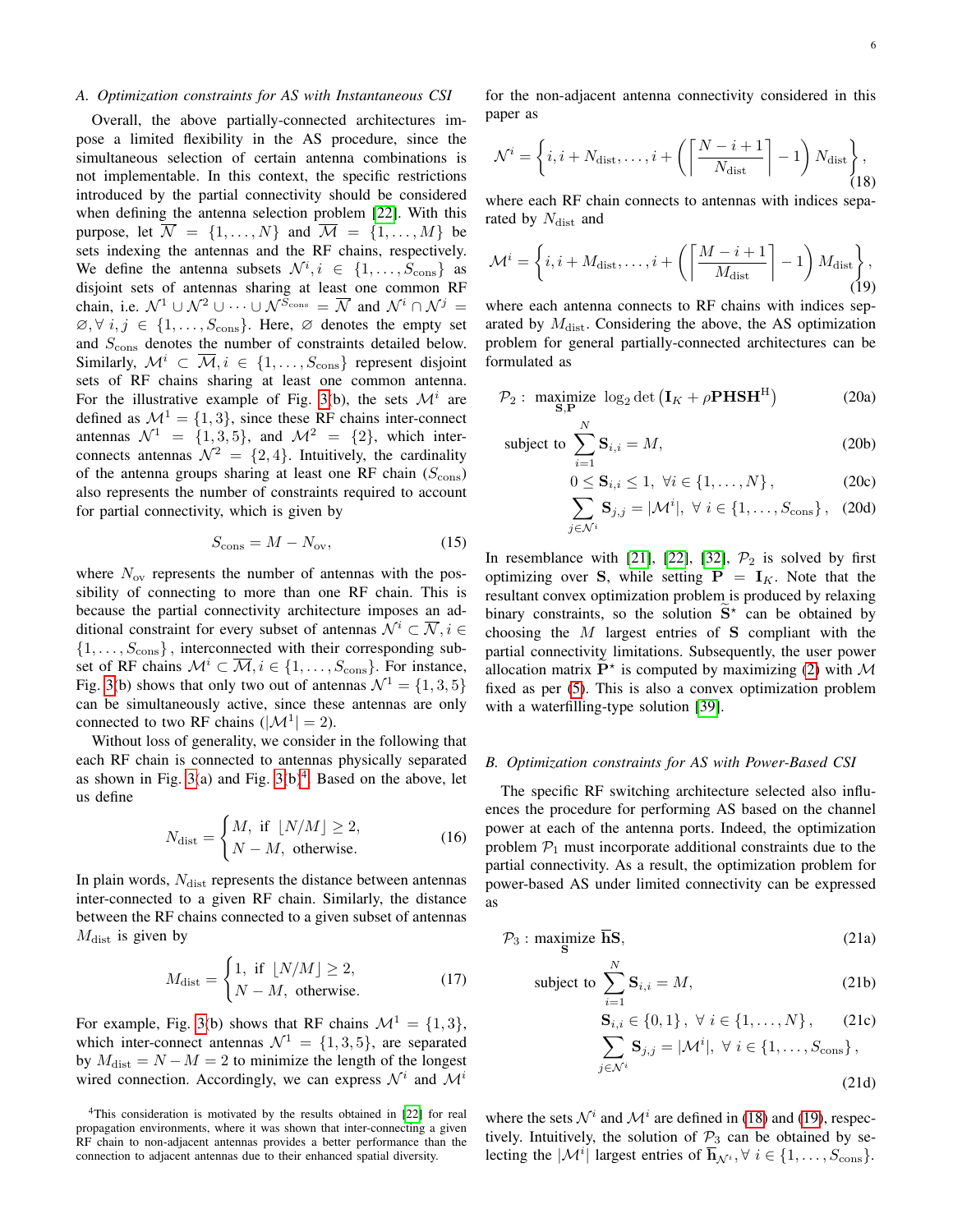## *A. Optimization constraints for AS with Instantaneous CSI*

Overall, the above partially-connected architectures impose a limited flexibility in the AS procedure, since the simultaneous selection of certain antenna combinations is not implementable. In this context, the specific restrictions introduced by the partial connectivity should be considered when defining the antenna selection problem [\[22\]](#page-13-0). With this purpose, let  $\overline{\mathcal{N}} = \{1, ..., N\}$  and  $\overline{\mathcal{M}} = \{1, ..., M\}$  be sets indexing the antennas and the RF chains, respectively. We define the antenna subsets  $\mathcal{N}^i, i \in \{1, \ldots, S_{\text{cons}}\}$  as disjoint sets of antennas sharing at least one common RF chain, i.e.  $\mathcal{N}^1 \cup \mathcal{N}^2 \cup \cdots \cup \mathcal{N}^{S_{\text{cons}}} = \overline{\mathcal{N}}$  and  $\mathcal{N}^i \cap \mathcal{N}^j =$  $\emptyset, \forall i, j \in \{1, \ldots, S_{\text{cons}}\}.$  Here,  $\emptyset$  denotes the empty set and  $S_{\text{cons}}$  denotes the number of constraints detailed below. Similarly,  $\mathcal{M}^i \subset \overline{\mathcal{M}}, i \in \{1, \ldots, S_{\text{cons}}\}$  represent disjoint sets of RF chains sharing at least one common antenna. For the illustrative example of Fig. [3\(](#page-4-3)b), the sets  $\mathcal{M}^i$  are defined as  $\mathcal{M}^1 = \{1, 3\}$ , since these RF chains inter-connect antennas  $\mathcal{N}^1$  = {1, 3, 5}, and  $\mathcal{M}^2$  = {2}, which interconnects antennas  $\mathcal{N}^2 = \{2, 4\}$ . Intuitively, the cardinality of the antenna groups sharing at least one RF chain  $(S_{\text{cons}})$ also represents the number of constraints required to account for partial connectivity, which is given by

$$
S_{\rm cons} = M - N_{\rm ov},\tag{15}
$$

where  $N_{\text{ov}}$  represents the number of antennas with the possibility of connecting to more than one RF chain. This is because the partial connectivity architecture imposes an additional constraint for every subset of antennas  $\mathcal{N}^i \subset \overline{\mathcal{N}}, i \in$  $\{1, \ldots, S_{\text{cons}}\}$ , interconnected with their corresponding subset of RF chains  $\mathcal{M}^i \subset \overline{\mathcal{M}}, i \in \{1, \ldots, S_{\text{cons}}\}.$  For instance, Fig. [3\(](#page-4-3)b) shows that only two out of antennas  $\mathcal{N}^1 = \{1, 3, 5\}$ can be simultaneously active, since these antennas are only connected to two RF chains  $(|\mathcal{M}^1| = 2)$ .

Without loss of generality, we consider in the following that each RF chain is connected to antennas physically separated as shown in Fig.  $3(a)$  and Fig.  $3(b)^4$  $3(b)^4$ . Based on the above, let us define

$$
N_{\text{dist}} = \begin{cases} M, & \text{if } \lfloor N/M \rfloor \ge 2, \\ N - M, & \text{otherwise.} \end{cases} \tag{16}
$$

In plain words,  $N_{\text{dist}}$  represents the distance between antennas inter-connected to a given RF chain. Similarly, the distance between the RF chains connected to a given subset of antennas  $M_{\text{dist}}$  is given by

$$
M_{\text{dist}} = \begin{cases} 1, & \text{if } \lfloor N/M \rfloor \ge 2, \\ N - M, & \text{otherwise.} \end{cases} \tag{17}
$$

For example, Fig. [3\(](#page-4-3)b) shows that RF chains  $\mathcal{M}^1 = \{1,3\}$ , which inter-connect antennas  $\mathcal{N}^1 = \{1, 3, 5\}$ , are separated by  $M_{\text{dist}} = N - M = 2$  to minimize the length of the longest wired connection. Accordingly, we can express  $\mathcal{N}^i$  and  $\mathcal{M}^i$ 

<span id="page-5-0"></span><sup>4</sup>This consideration is motivated by the results obtained in [\[22\]](#page-13-0) for real propagation environments, where it was shown that inter-connecting a given RF chain to non-adjacent antennas provides a better performance than the connection to adjacent antennas due to their enhanced spatial diversity.

<span id="page-5-1"></span>for the non-adjacent antenna connectivity considered in this paper as

$$
\mathcal{N}^{i} = \left\{ i, i + N_{\text{dist}}, \dots, i + \left( \left\lceil \frac{N - i + 1}{N_{\text{dist}}} \right\rceil - 1 \right) N_{\text{dist}} \right\},\tag{18}
$$

<span id="page-5-2"></span>where each RF chain connects to antennas with indices separated by  $N_{\text{dist}}$  and

$$
\mathcal{M}^{i} = \left\{ i, i + M_{\text{dist}}, \dots, i + \left( \left\lceil \frac{M - i + 1}{M_{\text{dist}}} \right\rceil - 1 \right) M_{\text{dist}} \right\},\tag{19}
$$

where each antenna connects to RF chains with indices separated by  $M_{\text{dist}}$ . Considering the above, the AS optimization problem for general partially-connected architectures can be formulated as

$$
\mathcal{P}_2: \underset{\mathbf{S}, \mathbf{P}}{\text{maximize }} \log_2 \det \left( \mathbf{I}_K + \rho \mathbf{P} \mathbf{H} \mathbf{S} \mathbf{H}^{\mathrm{H}} \right) \tag{20a}
$$

subject to 
$$
\sum_{i=1}^{N} \mathbf{S}_{i,i} = M,
$$
 (20b)

$$
0 \le S_{i,i} \le 1, \ \forall i \in \{1, ..., N\},
$$
 (20c)

$$
\sum_{j \in \mathcal{N}^i} \mathbf{S}_{j,j} = |\mathcal{M}^i|, \ \forall \ i \in \{1, \dots, S_{\text{cons}}\}, \tag{20d}
$$

In resemblance with [\[21\]](#page-12-16), [\[22\]](#page-13-0), [\[32\]](#page-13-6),  $P_2$  is solved by first optimizing over S, while setting  $P = I_K$ . Note that the resultant convex optimization problem is produced by relaxing binary constraints, so the solution  $\tilde{S}^*$  can be obtained by choosing the  $M$  largest entries of S compliant with the partial connectivity limitations. Subsequently, the user power allocation matrix  $\tilde{P}^*$  is computed by maximizing [\(2\)](#page-1-3) with M fixed as per [\(5\)](#page-2-3). This is also a convex optimization problem with a waterfilling-type solution [\[39\]](#page-13-14).

#### *B. Optimization constraints for AS with Power-Based CSI*

The specific RF switching architecture selected also influences the procedure for performing AS based on the channel power at each of the antenna ports. Indeed, the optimization problem  $P_1$  must incorporate additional constraints due to the partial connectivity. As a result, the optimization problem for power-based AS under limited connectivity can be expressed as

$$
\mathcal{P}_3: \underset{\mathbf{S}}{\text{maximize}} \overline{\mathbf{h}} \mathbf{S},\tag{21a}
$$

subject to 
$$
\sum_{i=1}^{N} \mathbf{S}_{i,i} = M,
$$
 (21b)

$$
\mathbf{S}_{i,i} \in \{0,1\}, \ \forall \ i \in \{1,\dots,N\}, \qquad \text{(21c)}
$$
\n
$$
\sum_{j \in \mathcal{N}^i} \mathbf{S}_{j,j} = |\mathcal{M}^i|, \ \forall \ i \in \{1,\dots,S_{\text{cons}}\}, \qquad \qquad \text{(21d)}
$$

where the sets  $\mathcal{N}^i$  and  $\mathcal{M}^i$  are defined in [\(18\)](#page-5-1) and [\(19\)](#page-5-2), respectively. Intuitively, the solution of  $P_3$  can be obtained by selecting the  $|\mathcal{M}^i|$  largest entries of  $\overline{\mathbf{h}}_{\mathcal{N}^i}, \forall i \in \{1, ..., S_{\text{cons}}\}.$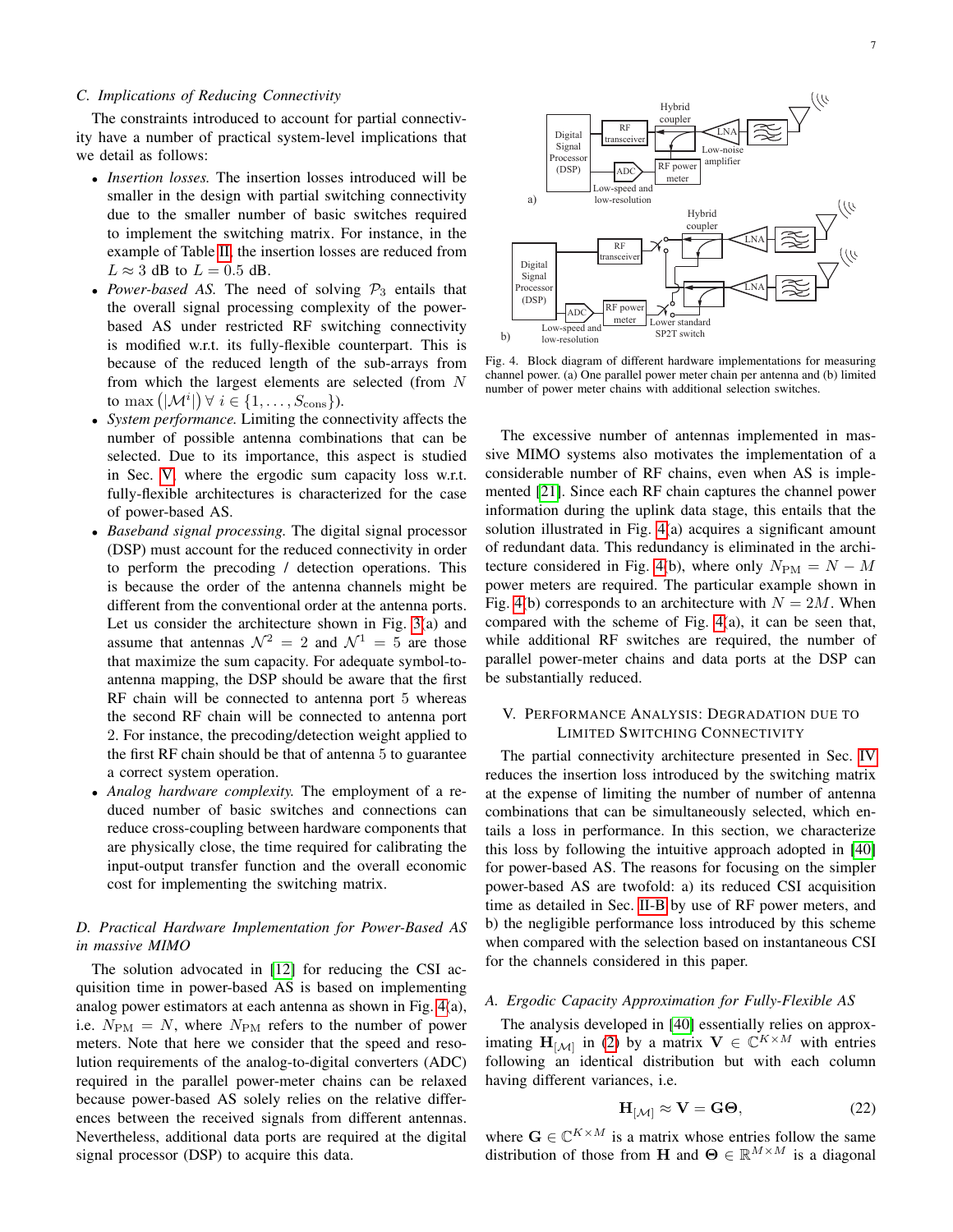## *C. Implications of Reducing Connectivity*

The constraints introduced to account for partial connectivity have a number of practical system-level implications that we detail as follows:

- *Insertion losses.* The insertion losses introduced will be smaller in the design with partial switching connectivity due to the smaller number of basic switches required to implement the switching matrix. For instance, in the example of Table [II,](#page-4-1) the insertion losses are reduced from  $L \approx 3$  dB to  $L = 0.5$  dB.
- *Power-based AS*. The need of solving  $P_3$  entails that the overall signal processing complexity of the powerbased AS under restricted RF switching connectivity is modified w.r.t. its fully-flexible counterpart. This is because of the reduced length of the sub-arrays from from which the largest elements are selected (from N to max  $(|\mathcal{M}^i|)$   $\forall i \in \{1, \ldots, S_{\text{cons}}\}$ ).
- *System performance.* Limiting the connectivity affects the number of possible antenna combinations that can be selected. Due to its importance, this aspect is studied in Sec. [V,](#page-6-0) where the ergodic sum capacity loss w.r.t. fully-flexible architectures is characterized for the case of power-based AS.
- *Baseband signal processing.* The digital signal processor (DSP) must account for the reduced connectivity in order to perform the precoding / detection operations. This is because the order of the antenna channels might be different from the conventional order at the antenna ports. Let us consider the architecture shown in Fig. [3\(](#page-4-3)a) and assume that antennas  $\mathcal{N}^2 = 2$  and  $\mathcal{N}^1 = 5$  are those that maximize the sum capacity. For adequate symbol-toantenna mapping, the DSP should be aware that the first RF chain will be connected to antenna port 5 whereas the second RF chain will be connected to antenna port 2. For instance, the precoding/detection weight applied to the first RF chain should be that of antenna 5 to guarantee a correct system operation.
- *Analog hardware complexity.* The employment of a reduced number of basic switches and connections can reduce cross-coupling between hardware components that are physically close, the time required for calibrating the input-output transfer function and the overall economic cost for implementing the switching matrix.

# *D. Practical Hardware Implementation for Power-Based AS in massive MIMO*

The solution advocated in [\[12\]](#page-12-9) for reducing the CSI acquisition time in power-based AS is based on implementing analog power estimators at each antenna as shown in Fig. [4\(](#page-6-1)a), i.e.  $N_{\text{PM}} = N$ , where  $N_{\text{PM}}$  refers to the number of power meters. Note that here we consider that the speed and resolution requirements of the analog-to-digital converters (ADC) required in the parallel power-meter chains can be relaxed because power-based AS solely relies on the relative differences between the received signals from different antennas. Nevertheless, additional data ports are required at the digital signal processor (DSP) to acquire this data.



<span id="page-6-1"></span>Fig. 4. Block diagram of different hardware implementations for measuring channel power. (a) One parallel power meter chain per antenna and (b) limited number of power meter chains with additional selection switches.

The excessive number of antennas implemented in massive MIMO systems also motivates the implementation of a considerable number of RF chains, even when AS is implemented [\[21\]](#page-12-16). Since each RF chain captures the channel power information during the uplink data stage, this entails that the solution illustrated in Fig. [4\(](#page-6-1)a) acquires a significant amount of redundant data. This redundancy is eliminated in the archi-tecture considered in Fig. [4\(](#page-6-1)b), where only  $N_{\rm PM} = N - M$ power meters are required. The particular example shown in Fig. [4\(](#page-6-1)b) corresponds to an architecture with  $N = 2M$ . When compared with the scheme of Fig. [4\(](#page-6-1)a), it can be seen that, while additional RF switches are required, the number of parallel power-meter chains and data ports at the DSP can be substantially reduced.

## <span id="page-6-0"></span>V. PERFORMANCE ANALYSIS: DEGRADATION DUE TO LIMITED SWITCHING CONNECTIVITY

The partial connectivity architecture presented in Sec. [IV](#page-4-0) reduces the insertion loss introduced by the switching matrix at the expense of limiting the number of number of antenna combinations that can be simultaneously selected, which entails a loss in performance. In this section, we characterize this loss by following the intuitive approach adopted in [\[40\]](#page-13-15) for power-based AS. The reasons for focusing on the simpler power-based AS are twofold: a) its reduced CSI acquisition time as detailed in Sec. [II-B](#page-1-5) by use of RF power meters, and b) the negligible performance loss introduced by this scheme when compared with the selection based on instantaneous CSI for the channels considered in this paper.

## *A. Ergodic Capacity Approximation for Fully-Flexible AS*

The analysis developed in [\[40\]](#page-13-15) essentially relies on approximating  $\mathbf{H}_{[\mathcal{M}]}$  in [\(2\)](#page-1-3) by a matrix  $\mathbf{V} \in \mathbb{C}^{K \times M}$  with entries following an identical distribution but with each column having different variances, i.e.

<span id="page-6-2"></span>
$$
\mathbf{H}_{[\mathcal{M}]} \approx \mathbf{V} = \mathbf{G}\mathbf{\Theta},\tag{22}
$$

where  $\mathbf{G} \in \mathbb{C}^{K \times M}$  is a matrix whose entries follow the same distribution of those from H and  $\mathbf{\Theta} \in \mathbb{R}^{M \times M}$  is a diagonal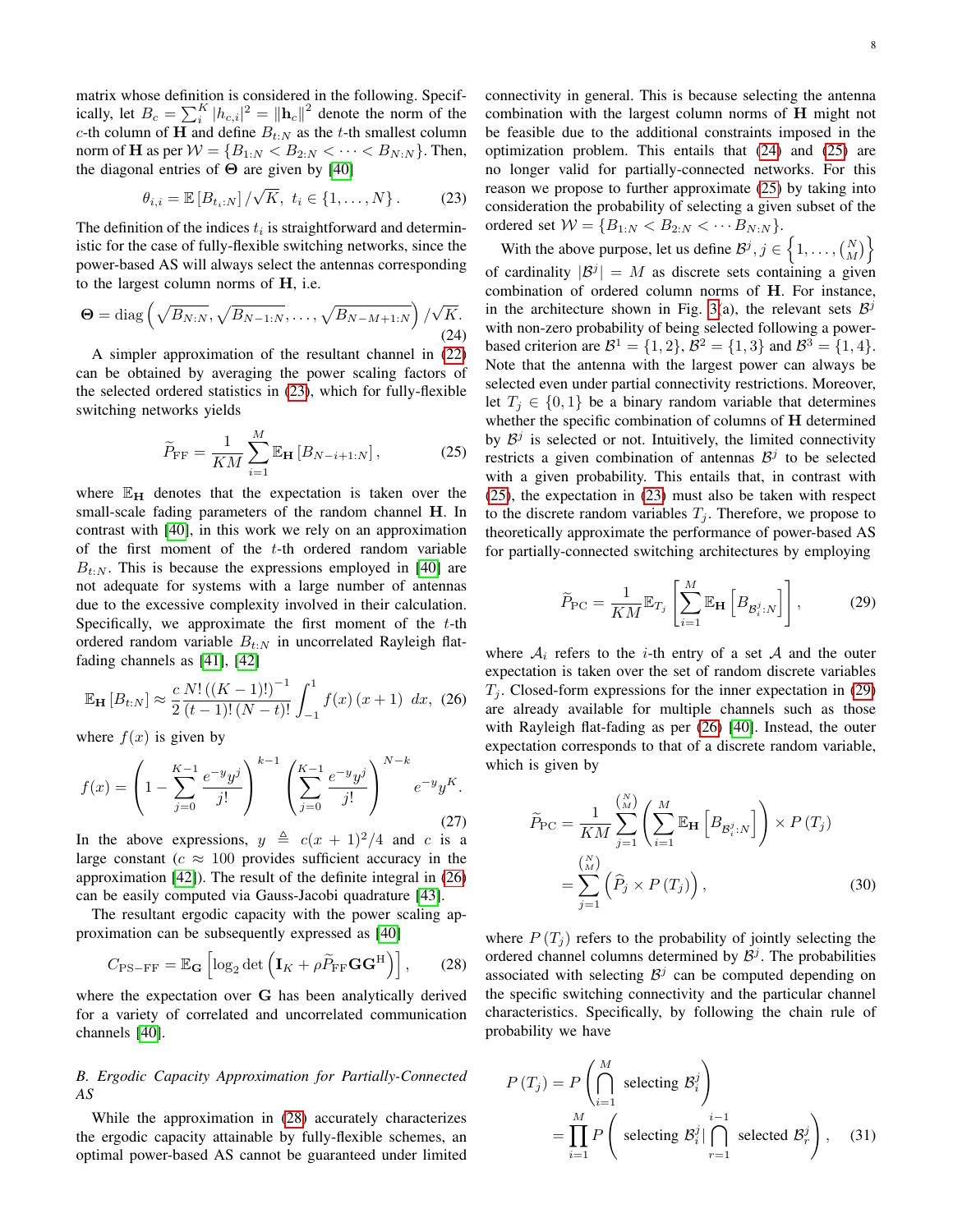matrix whose definition is considered in the following. Specifically, let  $B_c = \sum_{i=1}^{K} |h_{c,i}|^2 = ||\mathbf{h}_c||^2$  denote the norm of the c-th column of H and define  $B_{t:N}$  as the t-th smallest column norm of **H** as per  $W = \{B_{1:N} < B_{2:N} < \cdots < B_{N:N}\}.$  Then, the diagonal entries of  $\Theta$  are given by [\[40\]](#page-13-15)

$$
\theta_{i,i} = \mathbb{E}\left[B_{t_i:N}\right] / \sqrt{K}, \ t_i \in \{1, ..., N\}.
$$
 (23)

The definition of the indices  $t_i$  is straightforward and deterministic for the case of fully-flexible switching networks, since the power-based AS will always select the antennas corresponding to the largest column norms of H, i.e.

$$
\Theta = \text{diag}\left(\sqrt{B_{N:N}}, \sqrt{B_{N-1:N}}, \dots, \sqrt{B_{N-M+1:N}}\right) / \sqrt{K}.\tag{24}
$$

A simpler approximation of the resultant channel in [\(22\)](#page-6-2) can be obtained by averaging the power scaling factors of the selected ordered statistics in [\(23\)](#page-7-0), which for fully-flexible switching networks yields

<span id="page-7-4"></span>
$$
\widetilde{P}_{\rm FF} = \frac{1}{KM} \sum_{i=1}^{M} \mathbb{E}_{\mathbf{H}} \left[ B_{N-i+1:N} \right],\tag{25}
$$

where  $\mathbb{E}_{H}$  denotes that the expectation is taken over the small-scale fading parameters of the random channel H. In contrast with [\[40\]](#page-13-15), in this work we rely on an approximation of the first moment of the t-th ordered random variable  $B_{t:N}$ . This is because the expressions employed in [\[40\]](#page-13-15) are not adequate for systems with a large number of antennas due to the excessive complexity involved in their calculation. Specifically, we approximate the first moment of the  $t$ -th ordered random variable  $B_{t:N}$  in uncorrelated Rayleigh flatfading channels as [\[41\]](#page-13-16), [\[42\]](#page-13-17)

<span id="page-7-1"></span>
$$
\mathbb{E}_{\mathbf{H}}\left[B_{t:N}\right] \approx \frac{c}{2} \frac{N! \left((K-1)!\right)^{-1}}{(t-1)!\left(N-t\right)!} \int_{-1}^{1} f(x) \left(x+1\right) \, dx, \tag{26}
$$

where  $f(x)$  is given by

$$
f(x) = \left(1 - \sum_{j=0}^{K-1} \frac{e^{-y}y^j}{j!} \right)^{k-1} \left(\sum_{j=0}^{K-1} \frac{e^{-y}y^j}{j!} \right)^{N-k} e^{-y}y^K.
$$
\n(27)

In the above expressions,  $y \triangleq c(x + 1)^2/4$  and c is a large constant ( $c \approx 100$  provides sufficient accuracy in the approximation [\[42\]](#page-13-17)). The result of the definite integral in [\(26\)](#page-7-1) can be easily computed via Gauss-Jacobi quadrature [\[43\]](#page-13-18).

The resultant ergodic capacity with the power scaling approximation can be subsequently expressed as [\[40\]](#page-13-15)

$$
C_{\text{PS-FF}} = \mathbb{E}_{\mathbf{G}} \left[ \log_2 \det \left( \mathbf{I}_K + \rho \widetilde{P}_{\text{FF}} \mathbf{G} \mathbf{G}^{\text{H}} \right) \right],\qquad(28)
$$

where the expectation over G has been analytically derived for a variety of correlated and uncorrelated communication channels [\[40\]](#page-13-15).

# *B. Ergodic Capacity Approximation for Partially-Connected AS*

While the approximation in [\(28\)](#page-7-2) accurately characterizes the ergodic capacity attainable by fully-flexible schemes, an optimal power-based AS cannot be guaranteed under limited

<span id="page-7-0"></span>connectivity in general. This is because selecting the antenna combination with the largest column norms of H might not be feasible due to the additional constraints imposed in the optimization problem. This entails that [\(24\)](#page-7-3) and [\(25\)](#page-7-4) are no longer valid for partially-connected networks. For this reason we propose to further approximate [\(25\)](#page-7-4) by taking into consideration the probability of selecting a given subset of the ordered set  $W = \{B_{1:N} < B_{2:N} < \cdots B_{N:N}\}.$ 

<span id="page-7-3"></span>With the above purpose, let us define  $\mathcal{B}^j, j \in \{1, \ldots, {N \choose M}\}$ of cardinality  $|\mathcal{B}^j| = M$  as discrete sets containing a given combination of ordered column norms of H. For instance, in the architecture shown in Fig. [3\(](#page-4-3)a), the relevant sets  $\mathcal{B}^j$ with non-zero probability of being selected following a powerbased criterion are  $\mathcal{B}^1 = \{1, 2\}, \mathcal{B}^2 = \{1, 3\}$  and  $\mathcal{B}^3 = \{1, 4\}.$ Note that the antenna with the largest power can always be selected even under partial connectivity restrictions. Moreover, let  $T_i \in \{0, 1\}$  be a binary random variable that determines whether the specific combination of columns of H determined by  $\mathcal{B}^j$  is selected or not. Intuitively, the limited connectivity restricts a given combination of antennas  $\mathcal{B}^j$  to be selected with a given probability. This entails that, in contrast with [\(25\)](#page-7-4), the expectation in [\(23\)](#page-7-0) must also be taken with respect to the discrete random variables  $T_i$ . Therefore, we propose to theoretically approximate the performance of power-based AS for partially-connected switching architectures by employing

<span id="page-7-5"></span>
$$
\widetilde{P}_{\rm PC} = \frac{1}{KM} \mathbb{E}_{T_j} \left[ \sum_{i=1}^M \mathbb{E}_{\mathbf{H}} \left[ B_{\mathcal{B}_i^j : N} \right] \right],\tag{29}
$$

where  $A_i$  refers to the *i*-th entry of a set A and the outer expectation is taken over the set of random discrete variables  $T_j$ . Closed-form expressions for the inner expectation in [\(29\)](#page-7-5) are already available for multiple channels such as those with Rayleigh flat-fading as per [\(26\)](#page-7-1) [\[40\]](#page-13-15). Instead, the outer expectation corresponds to that of a discrete random variable, which is given by

<span id="page-7-7"></span>
$$
\widetilde{P}_{\text{PC}} = \frac{1}{KM} \sum_{j=1}^{N} \left( \sum_{i=1}^{M} \mathbb{E}_{\mathbf{H}} \left[ B_{\mathcal{B}_{i}^{j}:N} \right] \right) \times P(T_{j})
$$
\n
$$
= \sum_{j=1}^{N} \left( \widehat{P}_{j} \times P(T_{j}) \right), \tag{30}
$$

<span id="page-7-2"></span>where  $P(T_i)$  refers to the probability of jointly selecting the ordered channel columns determined by  $\mathcal{B}^j$ . The probabilities associated with selecting  $B^j$  can be computed depending on the specific switching connectivity and the particular channel characteristics. Specifically, by following the chain rule of probability we have

<span id="page-7-6"></span>
$$
P(T_j) = P\left(\bigcap_{i=1}^M \text{ selecting } \mathcal{B}_i^j\right)
$$
  
= 
$$
\prod_{i=1}^M P\left(\text{ selecting } \mathcal{B}_i^j \mid \bigcap_{r=1}^{i-1} \text{ selected } \mathcal{B}_r^j\right), \quad (31)
$$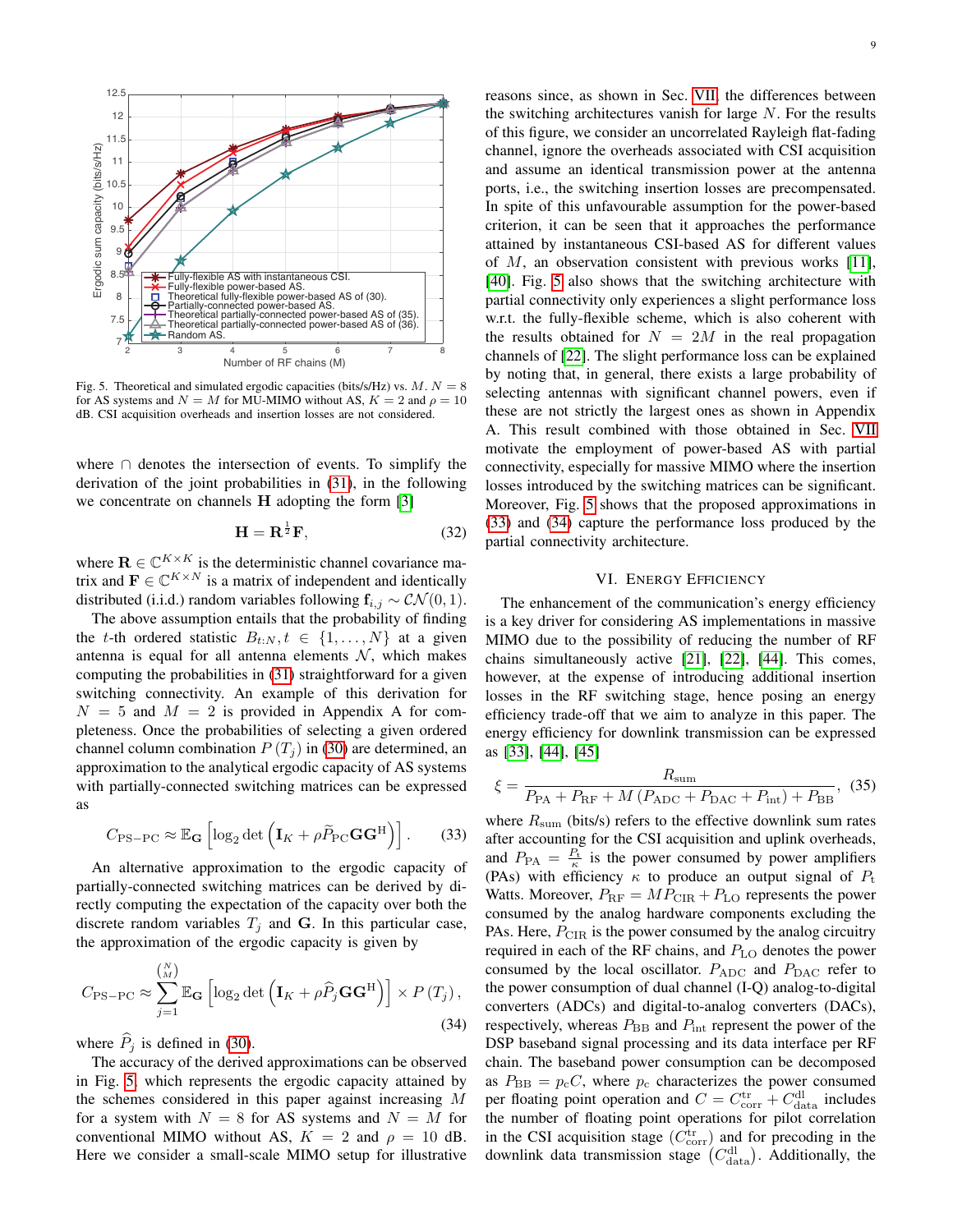

<span id="page-8-1"></span>Fig. 5. Theoretical and simulated ergodic capacities (bits/s/Hz) vs.  $M. N = 8$ for AS systems and  $N = M$  for MU-MIMO without AS,  $K = 2$  and  $\rho = 10$ dB. CSI acquisition overheads and insertion losses are not considered.

where ∩ denotes the intersection of events. To simplify the derivation of the joint probabilities in [\(31\)](#page-7-6), in the following we concentrate on channels H adopting the form [\[3\]](#page-12-2)

$$
\mathbf{H} = \mathbf{R}^{\frac{1}{2}}\mathbf{F},\tag{32}
$$

where  $\mathbf{R} \in \mathbb{C}^{K \times K}$  is the deterministic channel covariance matrix and  $\mathbf{F} \in \mathbb{C}^{K \times N}$  is a matrix of independent and identically distributed (i.i.d.) random variables following  $f_{i,j} \sim \mathcal{CN}(0, 1)$ .

The above assumption entails that the probability of finding the t-th ordered statistic  $B_{t:N}, t \in \{1, \ldots, N\}$  at a given antenna is equal for all antenna elements  $N$ , which makes computing the probabilities in [\(31\)](#page-7-6) straightforward for a given switching connectivity. An example of this derivation for  $N = 5$  and  $M = 2$  is provided in Appendix A for completeness. Once the probabilities of selecting a given ordered channel column combination  $P(T_i)$  in [\(30\)](#page-7-7) are determined, an approximation to the analytical ergodic capacity of AS systems with partially-connected switching matrices can be expressed as

<span id="page-8-2"></span>
$$
C_{\text{PS-PC}} \approx \mathbb{E}_{\mathbf{G}} \left[ \log_2 \det \left( \mathbf{I}_K + \rho \widetilde{P}_{\text{PC}} \mathbf{G} \mathbf{G}^{\text{H}} \right) \right]. \tag{33}
$$

An alternative approximation to the ergodic capacity of partially-connected switching matrices can be derived by directly computing the expectation of the capacity over both the discrete random variables  $T_j$  and G. In this particular case, the approximation of the ergodic capacity is given by

$$
C_{\text{PS-PC}} \approx \sum_{j=1}^{N} \mathbb{E}_{\mathbf{G}} \left[ \log_2 \det \left( \mathbf{I}_K + \rho \widehat{P}_j \mathbf{G} \mathbf{G}^{\text{H}} \right) \right] \times P \left( T_j \right),\tag{34}
$$

where  $\widehat{P}_j$  is defined in [\(30\)](#page-7-7).

The accuracy of the derived approximations can be observed in Fig. [5,](#page-8-1) which represents the ergodic capacity attained by the schemes considered in this paper against increasing M for a system with  $N = 8$  for AS systems and  $N = M$  for conventional MIMO without AS,  $K = 2$  and  $\rho = 10$  dB. Here we consider a small-scale MIMO setup for illustrative reasons since, as shown in Sec. [VII,](#page-9-0) the differences between the switching architectures vanish for large  $N$ . For the results of this figure, we consider an uncorrelated Rayleigh flat-fading channel, ignore the overheads associated with CSI acquisition and assume an identical transmission power at the antenna ports, i.e., the switching insertion losses are precompensated. In spite of this unfavourable assumption for the power-based criterion, it can be seen that it approaches the performance attained by instantaneous CSI-based AS for different values of  $M$ , an observation consistent with previous works [\[11\]](#page-12-8), [\[40\]](#page-13-15). Fig. [5](#page-8-1) also shows that the switching architecture with partial connectivity only experiences a slight performance loss w.r.t. the fully-flexible scheme, which is also coherent with the results obtained for  $N = 2M$  in the real propagation channels of [\[22\]](#page-13-0). The slight performance loss can be explained by noting that, in general, there exists a large probability of selecting antennas with significant channel powers, even if these are not strictly the largest ones as shown in Appendix A. This result combined with those obtained in Sec. [VII](#page-9-0) motivate the employment of power-based AS with partial connectivity, especially for massive MIMO where the insertion losses introduced by the switching matrices can be significant. Moreover, Fig. [5](#page-8-1) shows that the proposed approximations in [\(33\)](#page-8-2) and [\(34\)](#page-8-3) capture the performance loss produced by the partial connectivity architecture.

# VI. ENERGY EFFICIENCY

<span id="page-8-0"></span>The enhancement of the communication's energy efficiency is a key driver for considering AS implementations in massive MIMO due to the possibility of reducing the number of RF chains simultaneously active [\[21\]](#page-12-16), [\[22\]](#page-13-0), [\[44\]](#page-13-19). This comes, however, at the expense of introducing additional insertion losses in the RF switching stage, hence posing an energy efficiency trade-off that we aim to analyze in this paper. The energy efficiency for downlink transmission can be expressed as [\[33\]](#page-13-7), [\[44\]](#page-13-19), [\[45\]](#page-13-20)

<span id="page-8-4"></span>
$$
\xi = \frac{R_{\text{sum}}}{P_{\text{PA}} + P_{\text{RF}} + M \left(P_{\text{ADC}} + P_{\text{DAC}} + P_{\text{int}}\right) + P_{\text{BB}}},\tag{35}
$$

<span id="page-8-3"></span>where  $R_{\text{sum}}$  (bits/s) refers to the effective downlink sum rates after accounting for the CSI acquisition and uplink overheads, and  $P_{\text{PA}} = \frac{P_{\text{t}}}{\kappa}$  is the power consumed by power amplifiers (PAs) with efficiency  $\kappa$  to produce an output signal of  $P_t$ Watts. Moreover,  $P_{\text{RF}} = MP_{\text{CIR}} + P_{\text{LO}}$  represents the power consumed by the analog hardware components excluding the PAs. Here,  $P_{\text{CIR}}$  is the power consumed by the analog circuitry required in each of the RF chains, and  $P_{\text{LO}}$  denotes the power consumed by the local oscillator.  $P_{ADC}$  and  $P_{DAC}$  refer to the power consumption of dual channel (I-Q) analog-to-digital converters (ADCs) and digital-to-analog converters (DACs), respectively, whereas  $P_{\text{BB}}$  and  $P_{\text{int}}$  represent the power of the DSP baseband signal processing and its data interface per RF chain. The baseband power consumption can be decomposed as  $P_{\text{BB}} = p_{\text{c}} C$ , where  $p_{\text{c}}$  characterizes the power consumed per floating point operation and  $C = C_{\text{corr}}^{\text{tr}} + C_{\text{data}}^{\text{dl}}$  includes the number of floating point operations for pilot correlation in the CSI acquisition stage  $(C_{\text{corr}}^{\text{tr}})$  and for precoding in the downlink data transmission stage  $(C_{data}^{dl})$ . Additionally, the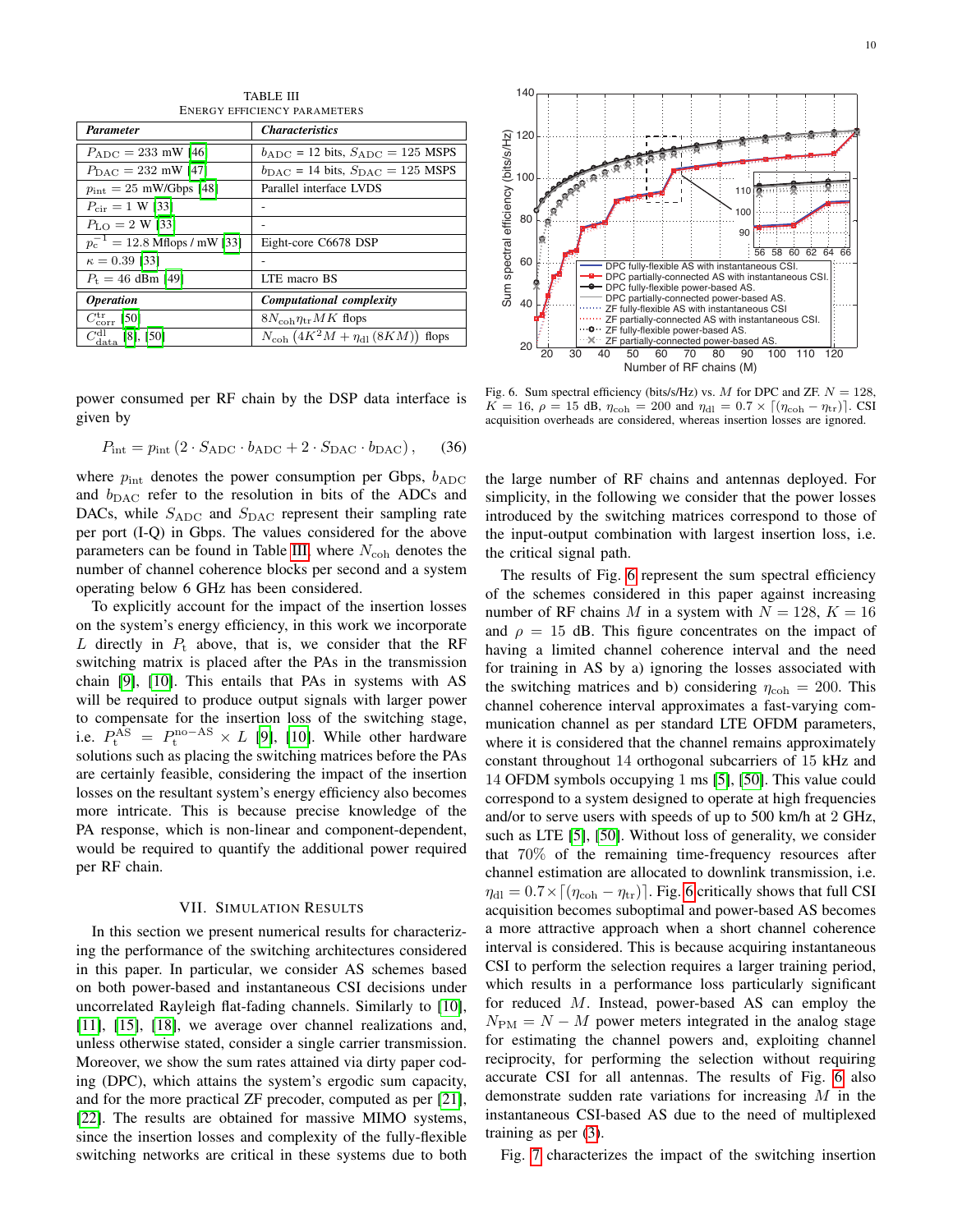10

<span id="page-9-1"></span>

| LIVERUT EFFICIENCI FARAMETERS           |                                                          |  |  |  |
|-----------------------------------------|----------------------------------------------------------|--|--|--|
| <b>Parameter</b>                        | <i><b>Characteristics</b></i>                            |  |  |  |
| $P_{ADC} = 233$ mW [46]                 | $b_{ADC}$ = 12 bits, $S_{ADC}$ = 125 MSPS                |  |  |  |
| $P_{\text{DAC}} = 232 \text{ mW}$ [47]  | $b_{\text{DAC}} = 14$ bits, $S_{\text{DAC}} = 125$ MSPS  |  |  |  |
| $p_{\text{int}} = 25$ mW/Gbps [48]      | Parallel interface LVDS                                  |  |  |  |
| $P_{\text{cir}} = 1 \text{ W}$ [33]     |                                                          |  |  |  |
| $P_{\rm LO} = 2 \,\rm W$ [33]           |                                                          |  |  |  |
| $p_c^{-1} = 12.8$ Mflops / mW [33]      | Eight-core C6678 DSP                                     |  |  |  |
| $\kappa = 0.39$ [33]                    |                                                          |  |  |  |
| $P_{\rm t} = 46$ dBm [49]               | LTE macro BS                                             |  |  |  |
| <i><b>Operation</b></i>                 | Computational complexity                                 |  |  |  |
| $C_{\rm corr}^{\rm tr}$ [50]            | $8N_{\text{coh}}\eta_{\text{tr}}MK$ flops                |  |  |  |
| $C_{\text{data}}^{\text{dl}}$ [8], [50] | $N_{\text{coh}}$ $(4K^2M + \eta_{\text{dl}}(8KM))$ flops |  |  |  |

TABLE III ENERGY EFFICIENCY PARAMETERS

power consumed per RF chain by the DSP data interface is given by

$$
P_{\text{int}} = p_{\text{int}} \left( 2 \cdot S_{\text{ADC}} \cdot b_{\text{ADC}} + 2 \cdot S_{\text{DAC}} \cdot b_{\text{DAC}} \right), \quad (36)
$$

where  $p_{\text{int}}$  denotes the power consumption per Gbps,  $b_{\text{ADC}}$ and  $b_{\text{DAC}}$  refer to the resolution in bits of the ADCs and DACs, while  $S_{ADC}$  and  $S_{DAC}$  represent their sampling rate per port (I-Q) in Gbps. The values considered for the above parameters can be found in Table [III,](#page-9-1) where  $N_{\rm coh}$  denotes the number of channel coherence blocks per second and a system operating below 6 GHz has been considered.

To explicitly account for the impact of the insertion losses on the system's energy efficiency, in this work we incorporate L directly in  $P_t$  above, that is, we consider that the RF switching matrix is placed after the PAs in the transmission chain [\[9\]](#page-12-7), [\[10\]](#page-12-17). This entails that PAs in systems with AS will be required to produce output signals with larger power to compensate for the insertion loss of the switching stage, i.e.  $P_t^{\overline{AS}} = P_t^{\text{no-AS}} \times L$  [\[9\]](#page-12-7), [\[10\]](#page-12-17). While other hardware solutions such as placing the switching matrices before the PAs are certainly feasible, considering the impact of the insertion losses on the resultant system's energy efficiency also becomes more intricate. This is because precise knowledge of the PA response, which is non-linear and component-dependent, would be required to quantify the additional power required per RF chain.

#### VII. SIMULATION RESULTS

<span id="page-9-0"></span>In this section we present numerical results for characterizing the performance of the switching architectures considered in this paper. In particular, we consider AS schemes based on both power-based and instantaneous CSI decisions under uncorrelated Rayleigh flat-fading channels. Similarly to [\[10\]](#page-12-17), [\[11\]](#page-12-8), [\[15\]](#page-12-12), [\[18\]](#page-12-15), we average over channel realizations and, unless otherwise stated, consider a single carrier transmission. Moreover, we show the sum rates attained via dirty paper coding (DPC), which attains the system's ergodic sum capacity, and for the more practical ZF precoder, computed as per [\[21\]](#page-12-16), [\[22\]](#page-13-0). The results are obtained for massive MIMO systems, since the insertion losses and complexity of the fully-flexible switching networks are critical in these systems due to both



<span id="page-9-2"></span>Fig. 6. Sum spectral efficiency (bits/s/Hz) vs. M for DPC and ZF.  $N = 128$ ,  $K = 16$ ,  $\rho = 15$  dB,  $\eta_{coh} = 200$  and  $\eta_{d1} = 0.7 \times [(\eta_{coh} - \eta_{tr})]$ . CSI acquisition overheads are considered, whereas insertion losses are ignored.

the large number of RF chains and antennas deployed. For simplicity, in the following we consider that the power losses introduced by the switching matrices correspond to those of the input-output combination with largest insertion loss, i.e. the critical signal path.

The results of Fig. [6](#page-9-2) represent the sum spectral efficiency of the schemes considered in this paper against increasing number of RF chains M in a system with  $N = 128$ ,  $K = 16$ and  $\rho = 15$  dB. This figure concentrates on the impact of having a limited channel coherence interval and the need for training in AS by a) ignoring the losses associated with the switching matrices and b) considering  $\eta_{coh} = 200$ . This channel coherence interval approximates a fast-varying communication channel as per standard LTE OFDM parameters, where it is considered that the channel remains approximately constant throughout 14 orthogonal subcarriers of 15 kHz and 14 OFDM symbols occupying 1 ms [\[5\]](#page-12-18), [\[50\]](#page-13-25). This value could correspond to a system designed to operate at high frequencies and/or to serve users with speeds of up to 500 km/h at 2 GHz, such as LTE [\[5\]](#page-12-18), [\[50\]](#page-13-25). Without loss of generality, we consider that 70% of the remaining time-frequency resources after channel estimation are allocated to downlink transmission, i.e.  $\eta_{\rm dl} = 0.7 \times [(\eta_{\rm coh} - \eta_{\rm tr})]$ . Fig. [6](#page-9-2) critically shows that full CSI acquisition becomes suboptimal and power-based AS becomes a more attractive approach when a short channel coherence interval is considered. This is because acquiring instantaneous CSI to perform the selection requires a larger training period, which results in a performance loss particularly significant for reduced M. Instead, power-based AS can employ the  $N_{\text{PM}} = N - M$  power meters integrated in the analog stage for estimating the channel powers and, exploiting channel reciprocity, for performing the selection without requiring accurate CSI for all antennas. The results of Fig. [6](#page-9-2) also demonstrate sudden rate variations for increasing  $M$  in the instantaneous CSI-based AS due to the need of multiplexed training as per [\(3\)](#page-1-6).

Fig. [7](#page-10-0) characterizes the impact of the switching insertion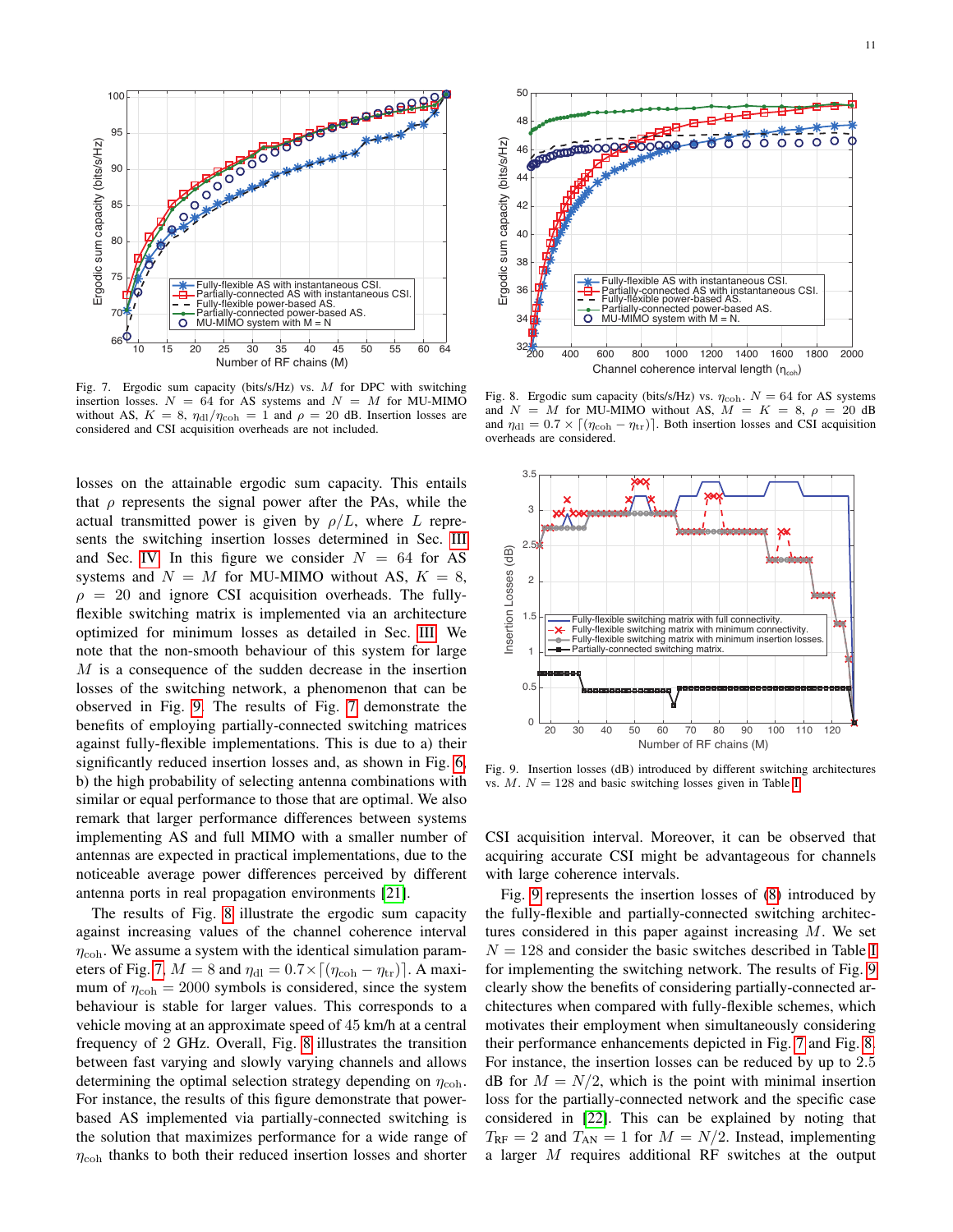

<span id="page-10-0"></span>Fig. 7. Ergodic sum capacity (bits/s/Hz) vs. M for DPC with switching insertion losses.  $N = 64$  for AS systems and  $N = M$  for MU-MIMO without AS,  $K = 8$ ,  $\eta_{\text{dl}}/\eta_{\text{coh}} = 1$  and  $\rho = 20$  dB. Insertion losses are considered and CSI acquisition overheads are not included.

losses on the attainable ergodic sum capacity. This entails that  $\rho$  represents the signal power after the PAs, while the actual transmitted power is given by  $\rho/L$ , where L represents the switching insertion losses determined in Sec. [III](#page-2-0) and Sec. [IV.](#page-4-0) In this figure we consider  $N = 64$  for AS systems and  $N = M$  for MU-MIMO without AS,  $K = 8$ ,  $\rho = 20$  and ignore CSI acquisition overheads. The fullyflexible switching matrix is implemented via an architecture optimized for minimum losses as detailed in Sec. [III.](#page-2-0) We note that the non-smooth behaviour of this system for large M is a consequence of the sudden decrease in the insertion losses of the switching network, a phenomenon that can be observed in Fig. [9.](#page-10-1) The results of Fig. [7](#page-10-0) demonstrate the benefits of employing partially-connected switching matrices against fully-flexible implementations. This is due to a) their significantly reduced insertion losses and, as shown in Fig. [6,](#page-9-2) b) the high probability of selecting antenna combinations with similar or equal performance to those that are optimal. We also remark that larger performance differences between systems implementing AS and full MIMO with a smaller number of antennas are expected in practical implementations, due to the noticeable average power differences perceived by different antenna ports in real propagation environments [\[21\]](#page-12-16).

The results of Fig. [8](#page-10-2) illustrate the ergodic sum capacity against increasing values of the channel coherence interval  $\eta_{\rm coh}$ . We assume a system with the identical simulation param-eters of Fig. [7,](#page-10-0)  $M = 8$  and  $\eta_{\text{dl}} = 0.7 \times [(\eta_{\text{coh}} - \eta_{\text{tr}})]$ . A maximum of  $\eta_{coh} = 2000$  symbols is considered, since the system behaviour is stable for larger values. This corresponds to a vehicle moving at an approximate speed of 45 km/h at a central frequency of 2 GHz. Overall, Fig. [8](#page-10-2) illustrates the transition between fast varying and slowly varying channels and allows determining the optimal selection strategy depending on  $\eta_{coh}$ . For instance, the results of this figure demonstrate that powerbased AS implemented via partially-connected switching is the solution that maximizes performance for a wide range of  $\eta_{\rm coh}$  thanks to both their reduced insertion losses and shorter



<span id="page-10-2"></span>Fig. 8. Ergodic sum capacity (bits/s/Hz) vs.  $\eta_{coh}$ .  $N = 64$  for AS systems and  $N = M$  for MU-MIMO without AS,  $M = K = 8, \rho = 20$  dB and  $\eta_{\text{dl}} = 0.7 \times [(\eta_{\text{coh}} - \eta_{\text{tr}})]$ . Both insertion losses and CSI acquisition overheads are considered.



<span id="page-10-1"></span>Fig. 9. Insertion losses (dB) introduced by different switching architectures vs.  $M$ .  $N = 128$  and basic switching losses given in Table [I.](#page-3-1)

CSI acquisition interval. Moreover, it can be observed that acquiring accurate CSI might be advantageous for channels with large coherence intervals.

Fig. [9](#page-10-1) represents the insertion losses of [\(8\)](#page-3-4) introduced by the fully-flexible and partially-connected switching architectures considered in this paper against increasing M. We set  $N = 128$  and consider the basic switches described in Table [I](#page-3-1) for implementing the switching network. The results of Fig. [9](#page-10-1) clearly show the benefits of considering partially-connected architectures when compared with fully-flexible schemes, which motivates their employment when simultaneously considering their performance enhancements depicted in Fig. [7](#page-10-0) and Fig. [8.](#page-10-2) For instance, the insertion losses can be reduced by up to 2.5 dB for  $M = N/2$ , which is the point with minimal insertion loss for the partially-connected network and the specific case considered in [\[22\]](#page-13-0). This can be explained by noting that  $T_{\rm RF} = 2$  and  $T_{\rm AN} = 1$  for  $M = N/2$ . Instead, implementing a larger M requires additional RF switches at the output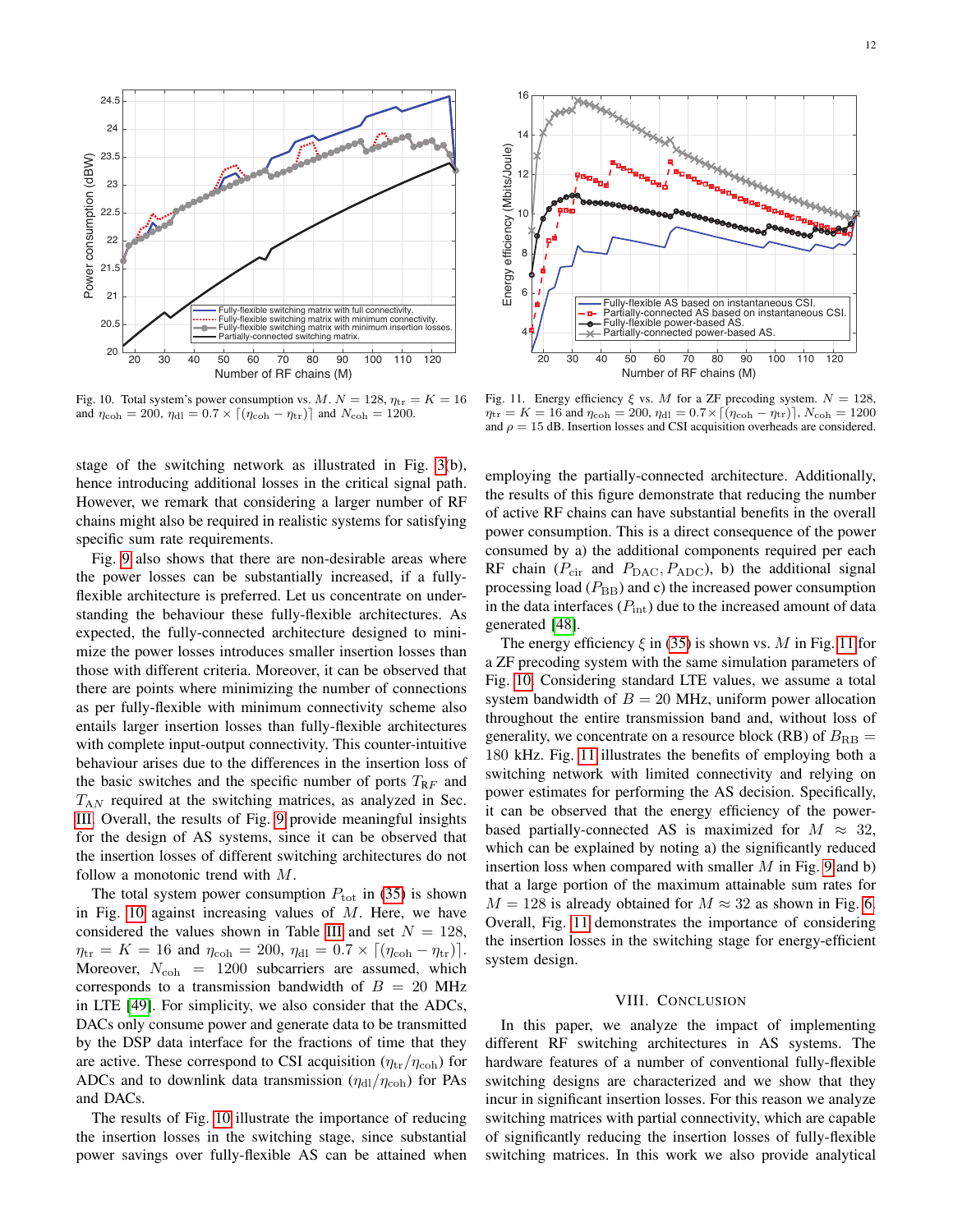

<span id="page-11-1"></span>Fig. 10. Total system's power consumption vs.  $M. N = 128$ ,  $\eta_{tr} = K = 16$ and  $\eta_{\rm coh} = 200$ ,  $\eta_{\rm dl} = 0.7 \times [(\eta_{\rm coh} - \eta_{\rm tr})]$  and  $N_{\rm coh} = 1200$ .

stage of the switching network as illustrated in Fig. [3\(](#page-4-3)b), hence introducing additional losses in the critical signal path. However, we remark that considering a larger number of RF chains might also be required in realistic systems for satisfying specific sum rate requirements.

Fig. [9](#page-10-1) also shows that there are non-desirable areas where the power losses can be substantially increased, if a fullyflexible architecture is preferred. Let us concentrate on understanding the behaviour these fully-flexible architectures. As expected, the fully-connected architecture designed to minimize the power losses introduces smaller insertion losses than those with different criteria. Moreover, it can be observed that there are points where minimizing the number of connections as per fully-flexible with minimum connectivity scheme also entails larger insertion losses than fully-flexible architectures with complete input-output connectivity. This counter-intuitive behaviour arises due to the differences in the insertion loss of the basic switches and the specific number of ports  $T_{RF}$  and  $T_{AN}$  required at the switching matrices, as analyzed in Sec. [III.](#page-2-0) Overall, the results of Fig. [9](#page-10-1) provide meaningful insights for the design of AS systems, since it can be observed that the insertion losses of different switching architectures do not follow a monotonic trend with M.

The total system power consumption  $P_{\text{tot}}$  in [\(35\)](#page-8-4) is shown in Fig. [10](#page-11-1) against increasing values of  $M$ . Here, we have considered the values shown in Table [III](#page-9-1) and set  $N = 128$ ,  $\eta_{\rm tr} = K = 16$  and  $\eta_{\rm coh} = 200$ ,  $\eta_{\rm dl} = 0.7 \times [(\eta_{\rm coh} - \eta_{\rm tr})]$ . Moreover,  $N_{\text{coh}} = 1200$  subcarriers are assumed, which corresponds to a transmission bandwidth of  $B = 20$  MHz in LTE [\[49\]](#page-13-24). For simplicity, we also consider that the ADCs, DACs only consume power and generate data to be transmitted by the DSP data interface for the fractions of time that they are active. These correspond to CSI acquisition  $(\eta_{tr}/\eta_{coh})$  for ADCs and to downlink data transmission  $(\eta_{\text{dl}}/\eta_{\text{coh}})$  for PAs and DACs.

The results of Fig. [10](#page-11-1) illustrate the importance of reducing the insertion losses in the switching stage, since substantial power savings over fully-flexible AS can be attained when



<span id="page-11-2"></span>Fig. 11. Energy efficiency  $\xi$  vs. M for a ZF precoding system.  $N = 128$ ,  $\eta_{\rm tr} = K = 16$  and  $\eta_{\rm coh} = 200$ ,  $\eta_{\rm dl} = 0.7 \times [(\eta_{\rm coh} - \eta_{\rm tr})]$ ,  $N_{\rm coh} = 1200$ and  $\rho = 15$  dB. Insertion losses and CSI acquisition overheads are considered.

employing the partially-connected architecture. Additionally, the results of this figure demonstrate that reducing the number of active RF chains can have substantial benefits in the overall power consumption. This is a direct consequence of the power consumed by a) the additional components required per each RF chain ( $P_{\text{cir}}$  and  $P_{\text{DAC}}, P_{\text{ADC}}$ ), b) the additional signal processing load  $(P_{BB})$  and c) the increased power consumption in the data interfaces  $(P_{\text{int}})$  due to the increased amount of data generated [\[48\]](#page-13-23).

The energy efficiency  $\xi$  in [\(35\)](#page-8-4) is shown vs. M in Fig. [11](#page-11-2) for a ZF precoding system with the same simulation parameters of Fig. [10.](#page-11-1) Considering standard LTE values, we assume a total system bandwidth of  $B = 20$  MHz, uniform power allocation throughout the entire transmission band and, without loss of generality, we concentrate on a resource block (RB) of  $B_{\text{RB}} =$ 180 kHz. Fig. [11](#page-11-2) illustrates the benefits of employing both a switching network with limited connectivity and relying on power estimates for performing the AS decision. Specifically, it can be observed that the energy efficiency of the powerbased partially-connected AS is maximized for  $M \approx 32$ , which can be explained by noting a) the significantly reduced insertion loss when compared with smaller  $M$  in Fig. [9](#page-10-1) and b) that a large portion of the maximum attainable sum rates for  $M = 128$  is already obtained for  $M \approx 32$  as shown in Fig. [6.](#page-9-2) Overall, Fig. [11](#page-11-2) demonstrates the importance of considering the insertion losses in the switching stage for energy-efficient system design.

## VIII. CONCLUSION

<span id="page-11-0"></span>In this paper, we analyze the impact of implementing different RF switching architectures in AS systems. The hardware features of a number of conventional fully-flexible switching designs are characterized and we show that they incur in significant insertion losses. For this reason we analyze switching matrices with partial connectivity, which are capable of significantly reducing the insertion losses of fully-flexible switching matrices. In this work we also provide analytical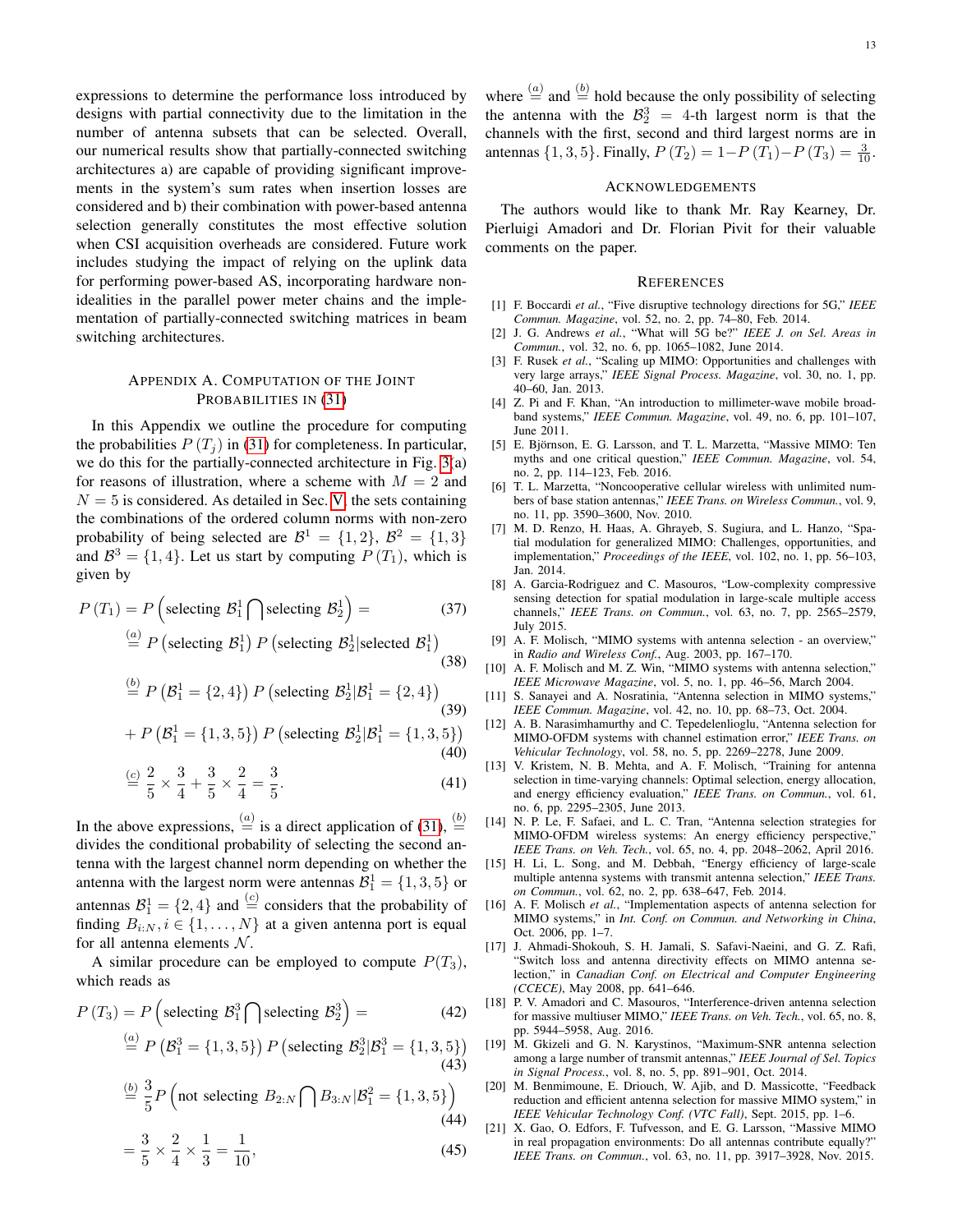expressions to determine the performance loss introduced by designs with partial connectivity due to the limitation in the number of antenna subsets that can be selected. Overall, our numerical results show that partially-connected switching architectures a) are capable of providing significant improvements in the system's sum rates when insertion losses are considered and b) their combination with power-based antenna selection generally constitutes the most effective solution when CSI acquisition overheads are considered. Future work includes studying the impact of relying on the uplink data for performing power-based AS, incorporating hardware nonidealities in the parallel power meter chains and the implementation of partially-connected switching matrices in beam switching architectures.

# APPENDIX A. COMPUTATION OF THE JOINT PROBABILITIES IN [\(31\)](#page-7-6)

In this Appendix we outline the procedure for computing the probabilities  $P(T_i)$  in [\(31\)](#page-7-6) for completeness. In particular, we do this for the partially-connected architecture in Fig. [3\(](#page-4-3)a) for reasons of illustration, where a scheme with  $M = 2$  and  $N = 5$  is considered. As detailed in Sec. [V,](#page-6-0) the sets containing the combinations of the ordered column norms with non-zero probability of being selected are  $\mathcal{B}^1 = \{1,2\}, \ \mathcal{B}^2 = \{1,3\}$ and  $\mathcal{B}^3 = \{1, 4\}$ . Let us start by computing  $P(T_1)$ , which is given by

$$
P(T_1) = P\left(\text{selecting } \mathcal{B}_1^1 \cap \text{selecting } \mathcal{B}_2^1\right) = \frac{a_0}{P\left(\text{selecting } \mathcal{B}_1^1\right)P\left(\text{selecting } \mathcal{B}_2^1\middle|\text{selected } \mathcal{B}_1^1\right)}
$$
\n(38)

$$
\stackrel{(b)}{=} P\left(\mathcal{B}_1^1 = \{2, 4\}\right) P\left(\text{selecting } \mathcal{B}_2^1 | \mathcal{B}_1^1 = \{2, 4\}\right) \tag{39}
$$

+ 
$$
P(B_1^1 = \{1,3,5\}) P
$$
 (selecting  $B_2^1 | B_1^1 = \{1,3,5\}$ )  
(40)

$$
\stackrel{(c)}{=} \frac{2}{5} \times \frac{3}{4} + \frac{3}{5} \times \frac{2}{4} = \frac{3}{5}.
$$
\n(41)

In the above expressions,  $\stackrel{(a)}{=}$  is a direct application of [\(31\)](#page-7-6),  $\stackrel{(b)}{=}$ divides the conditional probability of selecting the second antenna with the largest channel norm depending on whether the antenna with the largest norm were antennas  $\mathcal{B}_1^1 = \{1, 3, 5\}$  or antennas  $\mathcal{B}_1^1 = \{2, 4\}$  and  $\stackrel{(c)}{=}$  considers that the probability of finding  $B_{i:N}$ ,  $i \in \{1, ..., N\}$  at a given antenna port is equal for all antenna elements  $N$ .

A similar procedure can be employed to compute  $P(T_3)$ , which reads as

$$
P(T_3) = P\left(\text{selecting } \mathcal{B}_1^3 \bigcap \text{selecting } \mathcal{B}_2^3\right) = \tag{42}
$$

$$
\stackrel{(a)}{=} P\left(\mathcal{B}_1^3 = \{1,3,5\}\right) P\left(\text{selecting } \mathcal{B}_2^3 | \mathcal{B}_1^3 = \{1,3,5\}\right) \tag{43}
$$

$$
\stackrel{(b)}{=} \frac{3}{5} P \left( \text{not selecting } B_{2:N} \bigcap B_{3:N} | B_1^2 = \{1, 3, 5\} \right)
$$
\n(44)

$$
=\frac{3}{5} \times \frac{2}{4} \times \frac{1}{3} = \frac{1}{10},\tag{45}
$$

where  $\stackrel{(a)}{=}$  and  $\stackrel{(b)}{=}$  hold because the only possibility of selecting the antenna with the  $\mathcal{B}_2^3 = 4$ -th largest norm is that the channels with the first, second and third largest norms are in antennas  $\{1, 3, 5\}$ . Finally,  $P(T_2) = 1 - P(T_1) - P(T_3) = \frac{3}{10}$ .

### ACKNOWLEDGEMENTS

The authors would like to thank Mr. Ray Kearney, Dr. Pierluigi Amadori and Dr. Florian Pivit for their valuable comments on the paper.

#### **REFERENCES**

- <span id="page-12-0"></span>[1] F. Boccardi *et al.*, "Five disruptive technology directions for 5G," *IEEE Commun. Magazine*, vol. 52, no. 2, pp. 74–80, Feb. 2014.
- <span id="page-12-1"></span>[2] J. G. Andrews *et al.*, "What will 5G be?" *IEEE J. on Sel. Areas in Commun.*, vol. 32, no. 6, pp. 1065–1082, June 2014.
- <span id="page-12-2"></span>[3] F. Rusek et al., "Scaling up MIMO: Opportunities and challenges with very large arrays," *IEEE Signal Process. Magazine*, vol. 30, no. 1, pp. 40–60, Jan. 2013.
- <span id="page-12-3"></span>[4] Z. Pi and F. Khan, "An introduction to millimeter-wave mobile broadband systems," *IEEE Commun. Magazine*, vol. 49, no. 6, pp. 101–107, June 2011.
- <span id="page-12-18"></span>[5] E. Björnson, E. G. Larsson, and T. L. Marzetta, "Massive MIMO: Ten myths and one critical question," *IEEE Commun. Magazine*, vol. 54, no. 2, pp. 114–123, Feb. 2016.
- <span id="page-12-4"></span>[6] T. L. Marzetta, "Noncooperative cellular wireless with unlimited numbers of base station antennas," *IEEE Trans. on Wireless Commun.*, vol. 9, no. 11, pp. 3590–3600, Nov. 2010.
- <span id="page-12-5"></span>[7] M. D. Renzo, H. Haas, A. Ghrayeb, S. Sugiura, and L. Hanzo, "Spatial modulation for generalized MIMO: Challenges, opportunities, and implementation," *Proceedings of the IEEE*, vol. 102, no. 1, pp. 56–103, Jan. 2014.
- <span id="page-12-6"></span>[8] A. Garcia-Rodriguez and C. Masouros, "Low-complexity compressive sensing detection for spatial modulation in large-scale multiple access channels," *IEEE Trans. on Commun.*, vol. 63, no. 7, pp. 2565–2579, July 2015.
- <span id="page-12-7"></span>[9] A. F. Molisch, "MIMO systems with antenna selection - an overview," in *Radio and Wireless Conf.*, Aug. 2003, pp. 167–170.
- <span id="page-12-17"></span>[10] A. F. Molisch and M. Z. Win, "MIMO systems with antenna selection," *IEEE Microwave Magazine*, vol. 5, no. 1, pp. 46–56, March 2004.
- <span id="page-12-8"></span>[11] S. Sanayei and A. Nosratinia, "Antenna selection in MIMO systems," *IEEE Commun. Magazine*, vol. 42, no. 10, pp. 68–73, Oct. 2004.
- <span id="page-12-9"></span>[12] A. B. Narasimhamurthy and C. Tepedelenlioglu, "Antenna selection for MIMO-OFDM systems with channel estimation error," *IEEE Trans. on Vehicular Technology*, vol. 58, no. 5, pp. 2269–2278, June 2009.
- <span id="page-12-10"></span>[13] V. Kristem, N. B. Mehta, and A. F. Molisch, "Training for antenna selection in time-varying channels: Optimal selection, energy allocation, and energy efficiency evaluation," *IEEE Trans. on Commun.*, vol. 61, no. 6, pp. 2295–2305, June 2013.
- <span id="page-12-11"></span>[14] N. P. Le, F. Safaei, and L. C. Tran, "Antenna selection strategies for MIMO-OFDM wireless systems: An energy efficiency perspective," *IEEE Trans. on Veh. Tech.*, vol. 65, no. 4, pp. 2048–2062, April 2016.
- <span id="page-12-12"></span>[15] H. Li, L. Song, and M. Debbah, "Energy efficiency of large-scale multiple antenna systems with transmit antenna selection," *IEEE Trans. on Commun.*, vol. 62, no. 2, pp. 638–647, Feb. 2014.
- <span id="page-12-13"></span>[16] A. F. Molisch *et al.*, "Implementation aspects of antenna selection for MIMO systems," in *Int. Conf. on Commun. and Networking in China*, Oct. 2006, pp. 1–7.
- <span id="page-12-14"></span>[17] J. Ahmadi-Shokouh, S. H. Jamali, S. Safavi-Naeini, and G. Z. Rafi, "Switch loss and antenna directivity effects on MIMO antenna selection," in *Canadian Conf. on Electrical and Computer Engineering (CCECE)*, May 2008, pp. 641–646.
- <span id="page-12-15"></span>[18] P. V. Amadori and C. Masouros, "Interference-driven antenna selection for massive multiuser MIMO," *IEEE Trans. on Veh. Tech.*, vol. 65, no. 8, pp. 5944–5958, Aug. 2016.
- [19] M. Gkizeli and G. N. Karystinos, "Maximum-SNR antenna selection among a large number of transmit antennas," *IEEE Journal of Sel. Topics in Signal Process.*, vol. 8, no. 5, pp. 891–901, Oct. 2014.
- [20] M. Benmimoune, E. Driouch, W. Ajib, and D. Massicotte, "Feedback reduction and efficient antenna selection for massive MIMO system," in *IEEE Vehicular Technology Conf. (VTC Fall)*, Sept. 2015, pp. 1–6.
- <span id="page-12-16"></span>[21] X. Gao, O. Edfors, F. Tufvesson, and E. G. Larsson, "Massive MIMO in real propagation environments: Do all antennas contribute equally?" *IEEE Trans. on Commun.*, vol. 63, no. 11, pp. 3917–3928, Nov. 2015.